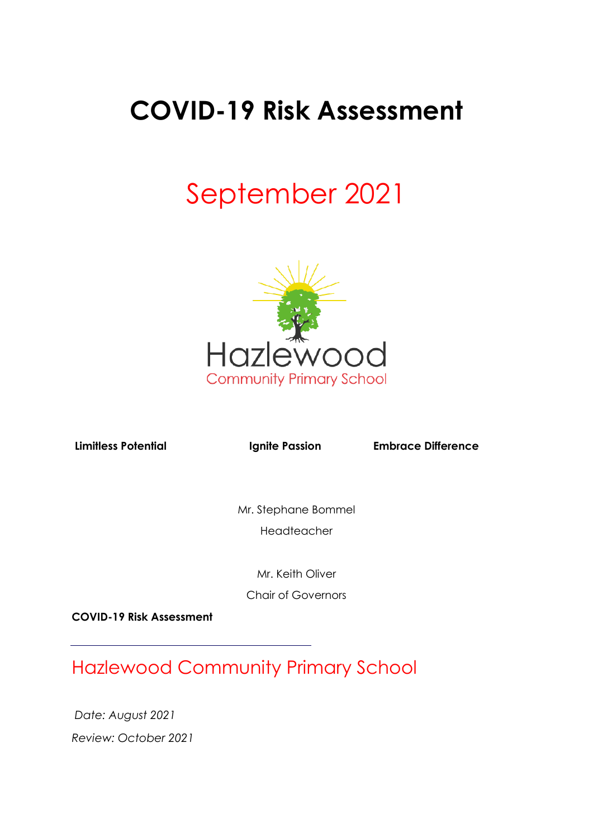## **COVID-19 Risk Assessment**

# September 2021



**Limitless Potential Limite Passion Embrace Difference** 

Mr. Stephane Bommel Headteacher

Mr. Keith Oliver

Chair of Governors

**COVID-19 Risk Assessment**

Hazlewood Community Primary School

*Date: August 2021 Review: October 2021*

j.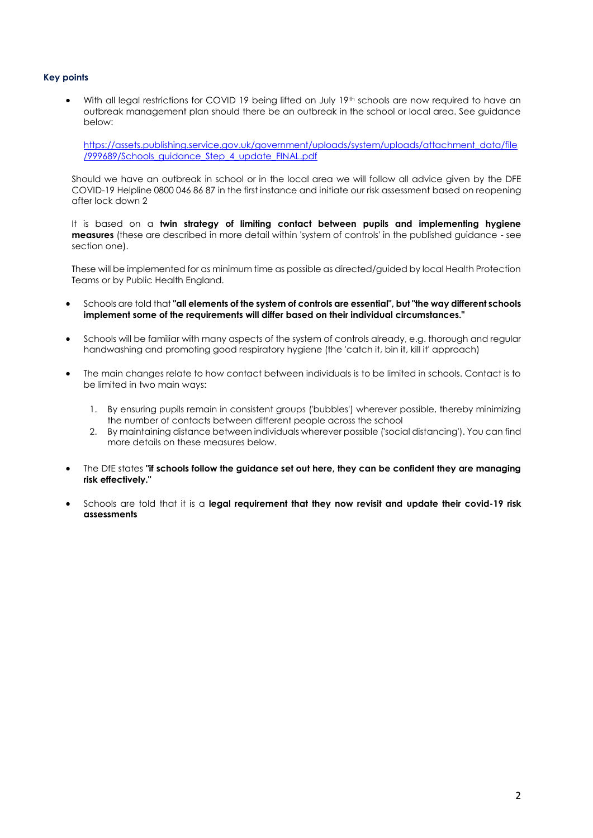#### **Key points**

With all legal restrictions for COVID 19 being lifted on July 19<sup>th</sup> schools are now required to have an outbreak management plan should there be an outbreak in the school or local area. See guidance below:

[https://assets.publishing.service.gov.uk/government/uploads/system/uploads/attachment\\_data/file](https://assets.publishing.service.gov.uk/government/uploads/system/uploads/attachment_data/file/999689/Schools_guidance_Step_4_update_FINAL.pdf) [/999689/Schools\\_guidance\\_Step\\_4\\_update\\_FINAL.pdf](https://assets.publishing.service.gov.uk/government/uploads/system/uploads/attachment_data/file/999689/Schools_guidance_Step_4_update_FINAL.pdf)

Should we have an outbreak in school or in the local area we will follow all advice given by the DFE COVID-19 Helpline 0800 046 86 87 in the first instance and initiate our risk assessment based on reopening after lock down 2

It is based on a **twin strategy of limiting contact between pupils and implementing hygiene measures** (these are described in more detail within 'system of controls' in the published guidance - see section one).

These will be implemented for as minimum time as possible as directed/guided by local Health Protection Teams or by Public Health England.

- Schools are told that **"all elements of the system of controls are essential", but "the way different schools implement some of the requirements will differ based on their individual circumstances."**
- Schools will be familiar with many aspects of the system of controls already, e.g. thorough and regular handwashing and promoting good respiratory hygiene (the 'catch it, bin it, kill it' approach)
- The main changes relate to how contact between individuals is to be limited in schools. Contact is to be limited in two main ways:
	- 1. By ensuring pupils remain in consistent groups ('bubbles') wherever possible, thereby minimizing the number of contacts between different people across the school
	- 2. By maintaining distance between individuals wherever possible ('social distancing'). You can find more details on these measures below.
- The DfE states **"if schools follow the guidance set out here, they can be confident they are managing risk effectively."**
- Schools are told that it is a **legal requirement that they now revisit and update their covid-19 risk assessments**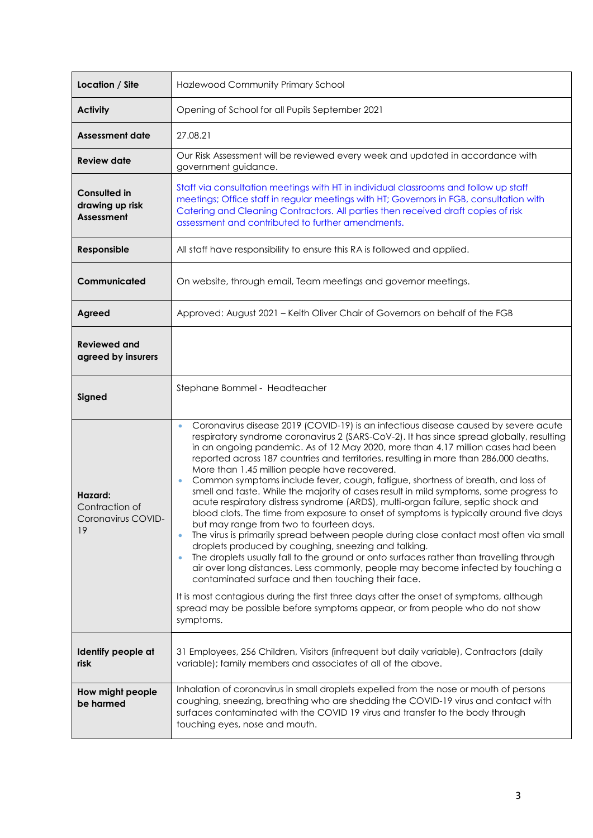| Location / Site                                             | Hazlewood Community Primary School                                                                                                                                                                                                                                                                                                                                                                                                                                                                                                                                                                                                                                                                                                                                                                                                                                                                                                                                                                                                                                                                                                                                                                                                                                                                                                                                                                                              |  |
|-------------------------------------------------------------|---------------------------------------------------------------------------------------------------------------------------------------------------------------------------------------------------------------------------------------------------------------------------------------------------------------------------------------------------------------------------------------------------------------------------------------------------------------------------------------------------------------------------------------------------------------------------------------------------------------------------------------------------------------------------------------------------------------------------------------------------------------------------------------------------------------------------------------------------------------------------------------------------------------------------------------------------------------------------------------------------------------------------------------------------------------------------------------------------------------------------------------------------------------------------------------------------------------------------------------------------------------------------------------------------------------------------------------------------------------------------------------------------------------------------------|--|
| <b>Activity</b>                                             | Opening of School for all Pupils September 2021                                                                                                                                                                                                                                                                                                                                                                                                                                                                                                                                                                                                                                                                                                                                                                                                                                                                                                                                                                                                                                                                                                                                                                                                                                                                                                                                                                                 |  |
| Assessment date                                             | 27.08.21                                                                                                                                                                                                                                                                                                                                                                                                                                                                                                                                                                                                                                                                                                                                                                                                                                                                                                                                                                                                                                                                                                                                                                                                                                                                                                                                                                                                                        |  |
| <b>Review date</b>                                          | Our Risk Assessment will be reviewed every week and updated in accordance with<br>government guidance.                                                                                                                                                                                                                                                                                                                                                                                                                                                                                                                                                                                                                                                                                                                                                                                                                                                                                                                                                                                                                                                                                                                                                                                                                                                                                                                          |  |
| <b>Consulted in</b><br>drawing up risk<br><b>Assessment</b> | Staff via consultation meetings with HT in individual classrooms and follow up staff<br>meetings; Office staff in regular meetings with HT; Governors in FGB, consultation with<br>Catering and Cleaning Contractors. All parties then received draft copies of risk<br>assessment and contributed to further amendments.                                                                                                                                                                                                                                                                                                                                                                                                                                                                                                                                                                                                                                                                                                                                                                                                                                                                                                                                                                                                                                                                                                       |  |
| Responsible                                                 | All staff have responsibility to ensure this RA is followed and applied.                                                                                                                                                                                                                                                                                                                                                                                                                                                                                                                                                                                                                                                                                                                                                                                                                                                                                                                                                                                                                                                                                                                                                                                                                                                                                                                                                        |  |
| Communicated                                                | On website, through email, Team meetings and governor meetings.                                                                                                                                                                                                                                                                                                                                                                                                                                                                                                                                                                                                                                                                                                                                                                                                                                                                                                                                                                                                                                                                                                                                                                                                                                                                                                                                                                 |  |
| Agreed                                                      | Approved: August 2021 - Keith Oliver Chair of Governors on behalf of the FGB                                                                                                                                                                                                                                                                                                                                                                                                                                                                                                                                                                                                                                                                                                                                                                                                                                                                                                                                                                                                                                                                                                                                                                                                                                                                                                                                                    |  |
| <b>Reviewed and</b><br>agreed by insurers                   |                                                                                                                                                                                                                                                                                                                                                                                                                                                                                                                                                                                                                                                                                                                                                                                                                                                                                                                                                                                                                                                                                                                                                                                                                                                                                                                                                                                                                                 |  |
| Signed                                                      | Stephane Bommel - Headteacher                                                                                                                                                                                                                                                                                                                                                                                                                                                                                                                                                                                                                                                                                                                                                                                                                                                                                                                                                                                                                                                                                                                                                                                                                                                                                                                                                                                                   |  |
| Hazard:<br>Contraction of<br>Coronavirus COVID-<br>19       | Coronavirus disease 2019 (COVID-19) is an infectious disease caused by severe acute<br>$\bullet$<br>respiratory syndrome coronavirus 2 (SARS-CoV-2). It has since spread globally, resulting<br>in an ongoing pandemic. As of 12 May 2020, more than 4.17 million cases had been<br>reported across 187 countries and territories, resulting in more than 286,000 deaths.<br>More than 1.45 million people have recovered.<br>Common symptoms include fever, cough, fatigue, shortness of breath, and loss of<br>$\bullet$<br>smell and taste. While the majority of cases result in mild symptoms, some progress to<br>acute respiratory distress syndrome (ARDS), multi-organ failure, septic shock and<br>blood clots. The time from exposure to onset of symptoms is typically around five days<br>but may range from two to fourteen days.<br>The virus is primarily spread between people during close contact most often via small<br>droplets produced by coughing, sneezing and talking.<br>The droplets usually fall to the ground or onto surfaces rather than travelling through<br>air over long distances. Less commonly, people may become infected by touching a<br>contaminated surface and then touching their face.<br>It is most contagious during the first three days after the onset of symptoms, although<br>spread may be possible before symptoms appear, or from people who do not show<br>symptoms. |  |
| Identify people at<br>risk                                  | 31 Employees, 256 Children, Visitors (infrequent but daily variable), Contractors (daily<br>variable); family members and associates of all of the above.                                                                                                                                                                                                                                                                                                                                                                                                                                                                                                                                                                                                                                                                                                                                                                                                                                                                                                                                                                                                                                                                                                                                                                                                                                                                       |  |
| How might people<br>be harmed                               | Inhalation of coronavirus in small droplets expelled from the nose or mouth of persons<br>coughing, sneezing, breathing who are shedding the COVID-19 virus and contact with<br>surfaces contaminated with the COVID 19 virus and transfer to the body through<br>touching eyes, nose and mouth.                                                                                                                                                                                                                                                                                                                                                                                                                                                                                                                                                                                                                                                                                                                                                                                                                                                                                                                                                                                                                                                                                                                                |  |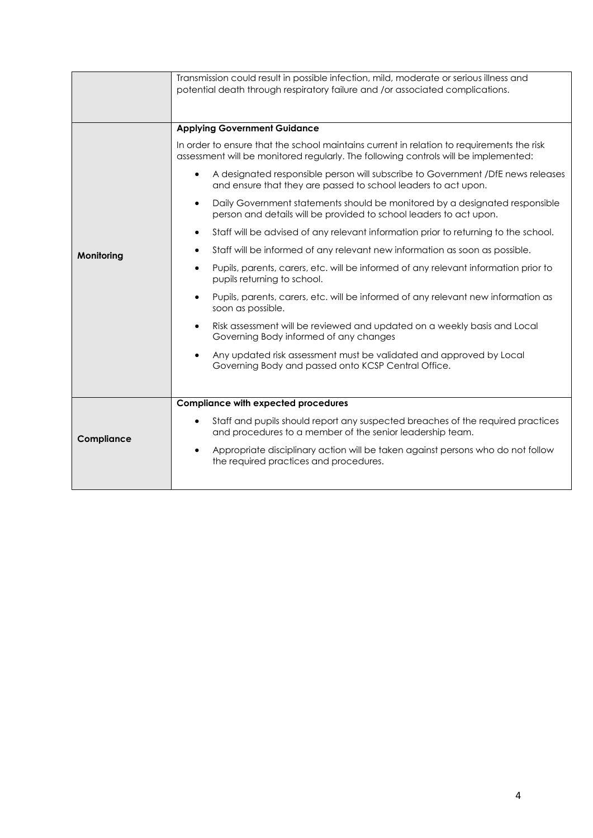|            | Transmission could result in possible infection, mild, moderate or serious illness and<br>potential death through respiratory failure and /or associated complications.          |  |  |
|------------|----------------------------------------------------------------------------------------------------------------------------------------------------------------------------------|--|--|
|            | <b>Applying Government Guidance</b>                                                                                                                                              |  |  |
|            | In order to ensure that the school maintains current in relation to requirements the risk<br>assessment will be monitored regularly. The following controls will be implemented: |  |  |
|            | A designated responsible person will subscribe to Government /DfE news releases<br>$\bullet$<br>and ensure that they are passed to school leaders to act upon.                   |  |  |
|            | Daily Government statements should be monitored by a designated responsible<br>person and details will be provided to school leaders to act upon.                                |  |  |
|            | Staff will be advised of any relevant information prior to returning to the school.                                                                                              |  |  |
| Monitoring | Staff will be informed of any relevant new information as soon as possible.                                                                                                      |  |  |
|            | Pupils, parents, carers, etc. will be informed of any relevant information prior to<br>pupils returning to school.                                                               |  |  |
|            | Pupils, parents, carers, etc. will be informed of any relevant new information as<br>soon as possible.                                                                           |  |  |
|            | Risk assessment will be reviewed and updated on a weekly basis and Local<br>$\bullet$<br>Governing Body informed of any changes                                                  |  |  |
|            | Any updated risk assessment must be validated and approved by Local<br>Governing Body and passed onto KCSP Central Office.                                                       |  |  |
|            |                                                                                                                                                                                  |  |  |
|            | <b>Compliance with expected procedures</b>                                                                                                                                       |  |  |
| Compliance | Staff and pupils should report any suspected breaches of the required practices<br>and procedures to a member of the senior leadership team.                                     |  |  |
|            | Appropriate disciplinary action will be taken against persons who do not follow<br>$\bullet$<br>the required practices and procedures.                                           |  |  |
|            |                                                                                                                                                                                  |  |  |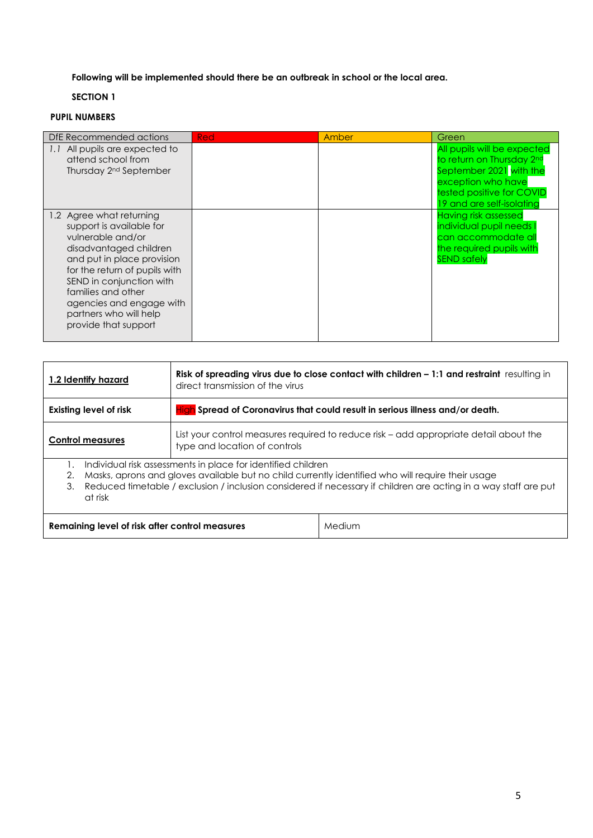**Following will be implemented should there be an outbreak in school or the local area.**

## **SECTION 1**

## **PUPIL NUMBERS**

| DfE Recommended actions                                                                                                                                                                                                                                                                            | <b>Red</b> | Amber | Green                                                                                                                                                               |
|----------------------------------------------------------------------------------------------------------------------------------------------------------------------------------------------------------------------------------------------------------------------------------------------------|------------|-------|---------------------------------------------------------------------------------------------------------------------------------------------------------------------|
| 1.1 All pupils are expected to<br>attend school from<br>Thursday 2 <sup>nd</sup> September                                                                                                                                                                                                         |            |       | All pupils will be expected<br>to return on Thursday 2nd<br>September 2021 with the<br>exception who have<br>tested positive for COVID<br>19 and are self-isolating |
| 1.2 Agree what returning<br>support is available for<br>vulnerable and/or<br>disadvantaged children<br>and put in place provision<br>for the return of pupils with<br>SEND in conjunction with<br>families and other<br>agencies and engage with<br>partners who will help<br>provide that support |            |       | <b>Having risk assessed</b><br>individual pupil needs I<br>can accommodate all<br>the required pupils with<br><b>SEND safely</b>                                    |

| 1.2 Identify hazard                                                                                                                                                                                                                                                                                         | Risk of spreading virus due to close contact with children $-1:1$ and restraint resulting in<br>direct transmission of the virus |  |
|-------------------------------------------------------------------------------------------------------------------------------------------------------------------------------------------------------------------------------------------------------------------------------------------------------------|----------------------------------------------------------------------------------------------------------------------------------|--|
| High Spread of Coronavirus that could result in serious illness and/or death.<br><b>Existing level of risk</b>                                                                                                                                                                                              |                                                                                                                                  |  |
| <b>Control measures</b>                                                                                                                                                                                                                                                                                     | List your control measures required to reduce risk – add appropriate detail about the<br>type and location of controls           |  |
| Individual risk assessments in place for identified children<br>Masks, aprons and gloves available but no child currently identified who will require their usage<br>2.<br>Reduced timetable / exclusion / inclusion considered if necessary if children are acting in a way staff are put<br>3.<br>at risk |                                                                                                                                  |  |
| Medium<br>Remaining level of risk after control measures                                                                                                                                                                                                                                                    |                                                                                                                                  |  |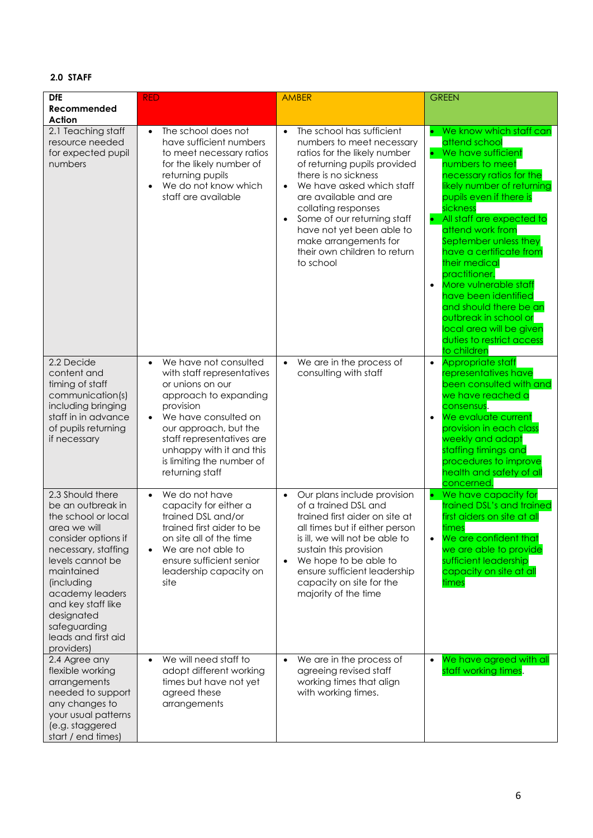## **2.0 STAFF**

| <b>DfE</b><br>Recommended<br><b>Action</b>                                                                                                                                                                                                                                             | <b>RED</b>                                                                                                                                                                                                                                                                                        | <b>AMBER</b>                                                                                                                                                                                                                                                                                                                                                                                         | <b>GREEN</b>                                                                                                                                                                                                                                                                                                                                                                                                                                                                                                             |
|----------------------------------------------------------------------------------------------------------------------------------------------------------------------------------------------------------------------------------------------------------------------------------------|---------------------------------------------------------------------------------------------------------------------------------------------------------------------------------------------------------------------------------------------------------------------------------------------------|------------------------------------------------------------------------------------------------------------------------------------------------------------------------------------------------------------------------------------------------------------------------------------------------------------------------------------------------------------------------------------------------------|--------------------------------------------------------------------------------------------------------------------------------------------------------------------------------------------------------------------------------------------------------------------------------------------------------------------------------------------------------------------------------------------------------------------------------------------------------------------------------------------------------------------------|
| 2.1 Teaching staff<br>resource needed<br>for expected pupil<br>numbers                                                                                                                                                                                                                 | The school does not<br>$\bullet$<br>have sufficient numbers<br>to meet necessary ratios<br>for the likely number of<br>returning pupils<br>We do not know which<br>$\bullet$<br>staff are available                                                                                               | The school has sufficient<br>$\bullet$<br>numbers to meet necessary<br>ratios for the likely number<br>of returning pupils provided<br>there is no sickness<br>We have asked which staff<br>$\bullet$<br>are available and are<br>collating responses<br>Some of our returning staff<br>$\bullet$<br>have not yet been able to<br>make arrangements for<br>their own children to return<br>to school | • We know which staff can<br>attend school<br>• We have sufficient<br>numbers to meet<br>necessary ratios for the<br>likely number of returning<br>pupils even if there is<br>sickness<br>• All staff are expected to<br>attend work from<br>September unless they<br>have a certificate from<br>their medical<br>practitioner.<br>More vulnerable staff<br>$\bullet$<br>have been identified<br>and should there be an<br>outbreak in school or<br>local area will be given<br>duties to restrict access<br>to children |
| 2.2 Decide<br>content and<br>timing of staff<br>communication(s)<br>including bringing<br>staff in in advance<br>of pupils returning<br>if necessary                                                                                                                                   | We have not consulted<br>$\bullet$<br>with staff representatives<br>or unions on our<br>approach to expanding<br>provision<br>We have consulted on<br>$\bullet$<br>our approach, but the<br>staff representatives are<br>unhappy with it and this<br>is limiting the number of<br>returning staff | We are in the process of<br>$\bullet$<br>consulting with staff                                                                                                                                                                                                                                                                                                                                       | Appropriate staff<br>$\bullet$<br>representatives have<br>been consulted with and<br>we have reached a<br>consensus.<br>We evaluate current<br>$\bullet$<br>provision in each class<br>weekly and adapt<br>staffing timings and<br>procedures to improve<br>health and safety of all<br>concerned.                                                                                                                                                                                                                       |
| 2.3 Should there<br>be an outbreak in<br>the school or local<br>area we will<br>consider options if<br>necessary, staffing<br>levels cannot be<br>maintained<br>(including<br>academy leaders<br>and key staff like<br>designated<br>safeguarding<br>leads and first aid<br>providers) | We do not have<br>$\bullet$<br>capacity for either a<br>trained DSL and/or<br>trained first aider to be<br>on site all of the time<br>We are not able to<br>$\bullet$<br>ensure sufficient senior<br>leadership capacity on<br>site                                                               | Our plans include provision<br>$\bullet$<br>of a trained DSL and<br>trained first aider on site at<br>all times but if either person<br>is ill, we will not be able to<br>sustain this provision<br>We hope to be able to<br>$\bullet$<br>ensure sufficient leadership<br>capacity on site for the<br>majority of the time                                                                           | We have capacity for<br>۰<br>trained DSL's and trained<br>first aiders on site at all<br>times<br>We are confident that<br>$\bullet$<br>we are able to provide<br>sufficient leadership<br>capacity on site at all<br>times                                                                                                                                                                                                                                                                                              |
| 2.4 Agree any<br>flexible working<br>arrangements<br>needed to support<br>any changes to<br>your usual patterns<br>(e.g. staggered<br>start / end times)                                                                                                                               | We will need staff to<br>$\bullet$<br>adopt different working<br>times but have not yet<br>agreed these<br>arrangements                                                                                                                                                                           | We are in the process of<br>agreeing revised staff<br>working times that align<br>with working times.                                                                                                                                                                                                                                                                                                | We have agreed with all<br>staff working times.                                                                                                                                                                                                                                                                                                                                                                                                                                                                          |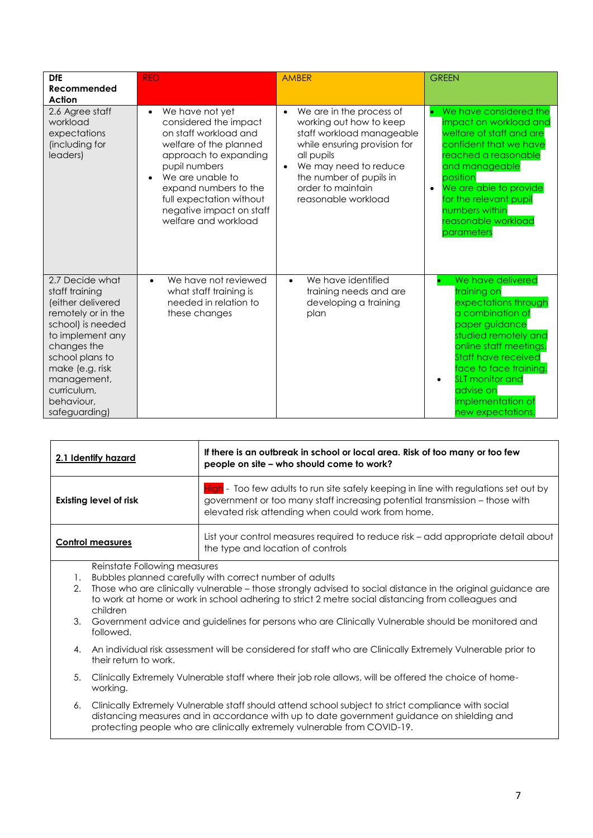| <b>DfE</b><br>Recommended<br>Action                                                                                                                                                                                                     | <b>RED</b>                                                                                                                                                                                                                                                                      | <b>AMBER</b>                                                                                                                                                                                                                                             | <b>GREEN</b>                                                                                                                                                                                                                                                                              |
|-----------------------------------------------------------------------------------------------------------------------------------------------------------------------------------------------------------------------------------------|---------------------------------------------------------------------------------------------------------------------------------------------------------------------------------------------------------------------------------------------------------------------------------|----------------------------------------------------------------------------------------------------------------------------------------------------------------------------------------------------------------------------------------------------------|-------------------------------------------------------------------------------------------------------------------------------------------------------------------------------------------------------------------------------------------------------------------------------------------|
| 2.6 Agree staff<br>workload<br>expectations<br>(including for<br>leaders)                                                                                                                                                               | We have not yet<br>$\bullet$<br>considered the impact<br>on staff workload and<br>welfare of the planned<br>approach to expanding<br>pupil numbers<br>We are unable to<br>expand numbers to the<br>full expectation without<br>negative impact on staff<br>welfare and workload | We are in the process of<br>$\bullet$<br>working out how to keep<br>staff workload manageable<br>while ensuring provision for<br>all pupils<br>We may need to reduce<br>$\bullet$<br>the number of pupils in<br>order to maintain<br>reasonable workload | We have considered the<br>o<br>impact on workload and<br>welfare of staff and are<br>confident that we have<br>reached a reasonable<br>and manageable<br>position<br>We are able to provide<br>$\bullet$<br>for the relevant pupil<br>numbers within<br>reasonable workload<br>parameters |
| 2.7 Decide what<br>staff training<br>(either delivered<br>remotely or in the<br>school) is needed<br>to implement any<br>changes the<br>school plans to<br>make (e.g. risk<br>management,<br>curriculum,<br>behaviour.<br>safeguarding) | We have not reviewed<br>what staff training is<br>needed in relation to<br>these changes                                                                                                                                                                                        | We have identified<br>$\bullet$<br>training needs and are<br>developing a training<br>plan                                                                                                                                                               | We have delivered<br>training on<br>expectations through<br>a combination of<br>paper guidance<br>studied remotely and<br>online staff meetings.<br><b>Staff have received</b><br>face to face training.<br><b>SLT</b> monitor and<br>advise on<br>implementation of<br>new expectations. |

| 2.1 Identify hazard           | If there is an outbreak in school or local area. Risk of too many or too few<br>people on site - who should come to work?                                                                                                 |
|-------------------------------|---------------------------------------------------------------------------------------------------------------------------------------------------------------------------------------------------------------------------|
| <b>Existing level of risk</b> | High - Too few adults to run site safely keeping in line with regulations set out by<br>government or too many staff increasing potential transmission - those with<br>elevated risk attending when could work from home. |
| <b>Control measures</b>       | List your control measures required to reduce risk – add appropriate detail about<br>the type and location of controls                                                                                                    |

Reinstate Following measures

- 1. Bubbles planned carefully with correct number of adults
- 2. Those who are clinically vulnerable those strongly advised to social distance in the original guidance are to work at home or work in school adhering to strict 2 metre social distancing from colleagues and children
- 3. Government advice and guidelines for persons who are Clinically Vulnerable should be monitored and followed.
- 4. An individual risk assessment will be considered for staff who are Clinically Extremely Vulnerable prior to their return to work.
- 5. Clinically Extremely Vulnerable staff where their job role allows, will be offered the choice of homeworking.
- 6. Clinically Extremely Vulnerable staff should attend school subject to strict compliance with social distancing measures and in accordance with up to date government guidance on shielding and protecting people who are clinically extremely vulnerable from COVID-19.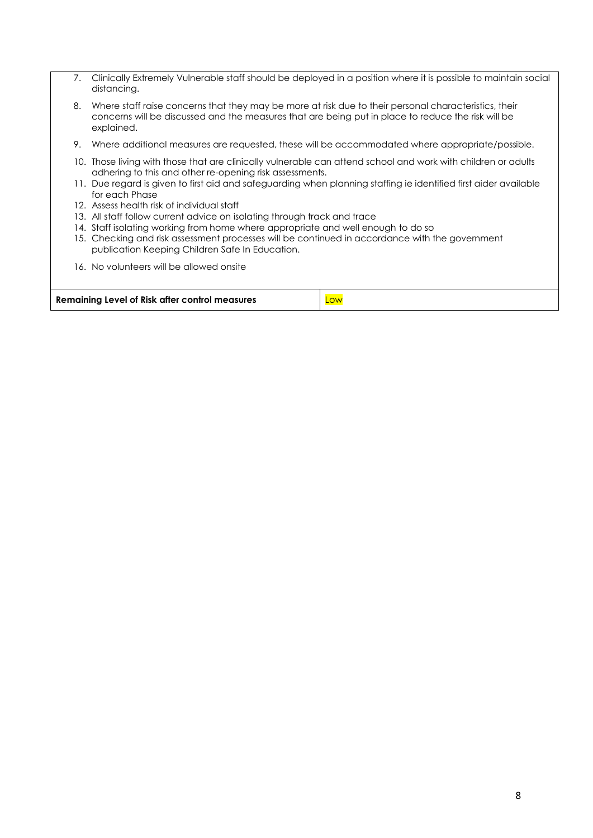| 7. | Clinically Extremely Vulnerable staff should be deployed in a position where it is possible to maintain social<br>distancing.                                                                                                                                                                                                                                                                                                                                                                                                                                                                                                                                                     |
|----|-----------------------------------------------------------------------------------------------------------------------------------------------------------------------------------------------------------------------------------------------------------------------------------------------------------------------------------------------------------------------------------------------------------------------------------------------------------------------------------------------------------------------------------------------------------------------------------------------------------------------------------------------------------------------------------|
| 8. | Where staff raise concerns that they may be more at risk due to their personal characteristics, their<br>concerns will be discussed and the measures that are being put in place to reduce the risk will be<br>explained.                                                                                                                                                                                                                                                                                                                                                                                                                                                         |
| 9. | Where additional measures are requested, these will be accommodated where appropriate/possible.                                                                                                                                                                                                                                                                                                                                                                                                                                                                                                                                                                                   |
|    | 10. Those living with those that are clinically vulnerable can attend school and work with children or adults<br>adhering to this and other re-opening risk assessments.<br>11. Due regard is given to first aid and safeguarding when planning staffing ie identified first aider available<br>for each Phase<br>12. Assess health risk of individual staff<br>13. All staff follow current advice on isolating through track and trace<br>14. Staff isolating working from home where appropriate and well enough to do so<br>15. Checking and risk assessment processes will be continued in accordance with the government<br>publication Keeping Children Safe In Education. |
|    | 16. No volunteers will be allowed onsite                                                                                                                                                                                                                                                                                                                                                                                                                                                                                                                                                                                                                                          |

| Remaining Level of Risk after control measures | Low |
|------------------------------------------------|-----|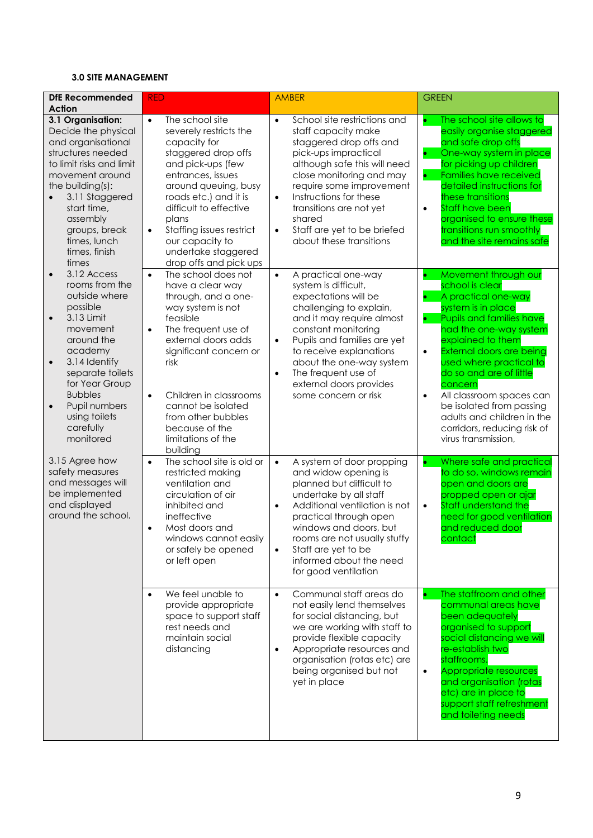## **3.0 SITE MANAGEMENT**

| <b>DfE Recommended</b><br><b>Action</b>                                                                                                                                                                                                                                                                | <b>RED</b>                                                                                                                                                                                                                                                                                                                                       | <b>AMBER</b>                                                                                                                                                                                                                                                                                                                                                   | <b>GREEN</b>                                                                                                                                                                                                                                                                                                                                                                                                                                                        |
|--------------------------------------------------------------------------------------------------------------------------------------------------------------------------------------------------------------------------------------------------------------------------------------------------------|--------------------------------------------------------------------------------------------------------------------------------------------------------------------------------------------------------------------------------------------------------------------------------------------------------------------------------------------------|----------------------------------------------------------------------------------------------------------------------------------------------------------------------------------------------------------------------------------------------------------------------------------------------------------------------------------------------------------------|---------------------------------------------------------------------------------------------------------------------------------------------------------------------------------------------------------------------------------------------------------------------------------------------------------------------------------------------------------------------------------------------------------------------------------------------------------------------|
| 3.1 Organisation:<br>Decide the physical<br>and organisational<br>structures needed<br>to limit risks and limit<br>movement around<br>the building(s):<br>3.11 Staggered<br>start time,<br>assembly<br>groups, break<br>times, lunch<br>times, finish<br>times                                         | $\bullet$<br>The school site<br>severely restricts the<br>capacity for<br>staggered drop offs<br>and pick-ups (few<br>entrances, issues<br>around queuing, busy<br>roads etc.) and it is<br>difficult to effective<br>plans<br>Staffing issues restrict<br>$\bullet$<br>our capacity to<br>undertake staggered<br>drop offs and pick ups         | School site restrictions and<br>$\bullet$<br>staff capacity make<br>staggered drop offs and<br>pick-ups impractical<br>although safe this will need<br>close monitoring and may<br>require some improvement<br>Instructions for these<br>$\bullet$<br>transitions are not yet<br>shared<br>Staff are yet to be briefed<br>$\bullet$<br>about these transitions | The school site allows to<br>$\bullet$<br>easily organise staggered<br>and safe drop offs<br>One-way system in place<br>$\bullet$<br>for picking up children<br><b>Families have received</b><br>detailed instructions for<br>these transitions<br><b>Staff have been</b><br>$\bullet$<br>organised to ensure these<br>transitions run smoothly<br>and the site remains safe                                                                                        |
| 3.12 Access<br>$\bullet$<br>rooms from the<br>outside where<br>possible<br>3.13 Limit<br>$\bullet$<br>movement<br>around the<br>academy<br>3.14 Identify<br>$\bullet$<br>separate toilets<br>for Year Group<br><b>Bubbles</b><br>Pupil numbers<br>$\bullet$<br>using toilets<br>carefully<br>monitored | The school does not<br>$\bullet$<br>have a clear way<br>through, and a one-<br>way system is not<br>feasible<br>The frequent use of<br>$\bullet$<br>external doors adds<br>significant concern or<br>risk<br>Children in classrooms<br>$\bullet$<br>cannot be isolated<br>from other bubbles<br>because of the<br>limitations of the<br>building | A practical one-way<br>$\bullet$<br>system is difficult,<br>expectations will be<br>challenging to explain,<br>and it may require almost<br>constant monitoring<br>Pupils and families are yet<br>$\bullet$<br>to receive explanations<br>about the one-way system<br>The frequent use of<br>$\bullet$<br>external doors provides<br>some concern or risk      | Movement through our<br>$\bullet$<br>school is clear<br>A practical one-way<br>$\bullet$<br>system is in place<br><b>Pupils and families have</b><br>had the one-way system<br>explained to them<br>External doors are being<br>$\bullet$<br>used where practical to<br>do so and are of little<br>concern<br>All classroom spaces can<br>$\bullet$<br>be isolated from passing<br>adults and children in the<br>corridors, reducing risk of<br>virus transmission, |
| 3.15 Agree how<br>safety measures<br>and messages will<br>be implemented<br>and displayed<br>around the school.                                                                                                                                                                                        | The school site is old or<br>$\bullet$<br>restricted making<br>ventilation and<br>circulation of air<br>inhibited and<br>ineffective<br>Most doors and<br>$\bullet$<br>windows cannot easily<br>or safely be opened<br>or left open                                                                                                              | A system of door propping<br>$\bullet$<br>and widow opening is<br>planned but difficult to<br>undertake by all staff<br>Additional ventilation is not<br>$\bullet$<br>practical through open<br>windows and doors, but<br>rooms are not usually stuffy<br>Staff are yet to be<br>$\bullet$<br>informed about the need<br>for good ventilation                  | Where safe and practical<br>to do so, windows remain<br>open and doors are<br>propped open or ajar<br>Staff understand the<br>$\bullet$<br>need for good ventilation<br>and reduced door<br>contact                                                                                                                                                                                                                                                                 |
|                                                                                                                                                                                                                                                                                                        | We feel unable to<br>$\bullet$<br>provide appropriate<br>space to support staff<br>rest needs and<br>maintain social<br>distancing                                                                                                                                                                                                               | Communal staff areas do<br>$\bullet$<br>not easily lend themselves<br>for social distancing, but<br>we are working with staff to<br>provide flexible capacity<br>Appropriate resources and<br>$\bullet$<br>organisation (rotas etc) are<br>being organised but not<br>yet in place                                                                             | The staffroom and other<br>communal areas have<br>been adequately<br>organised to support<br>social distancing we will<br>re-establish two<br>staffrooms.<br>Appropriate resources<br>$\bullet$<br>and organisation (rotas<br>etc) are in place to<br>support staff refreshment<br>and toileting needs                                                                                                                                                              |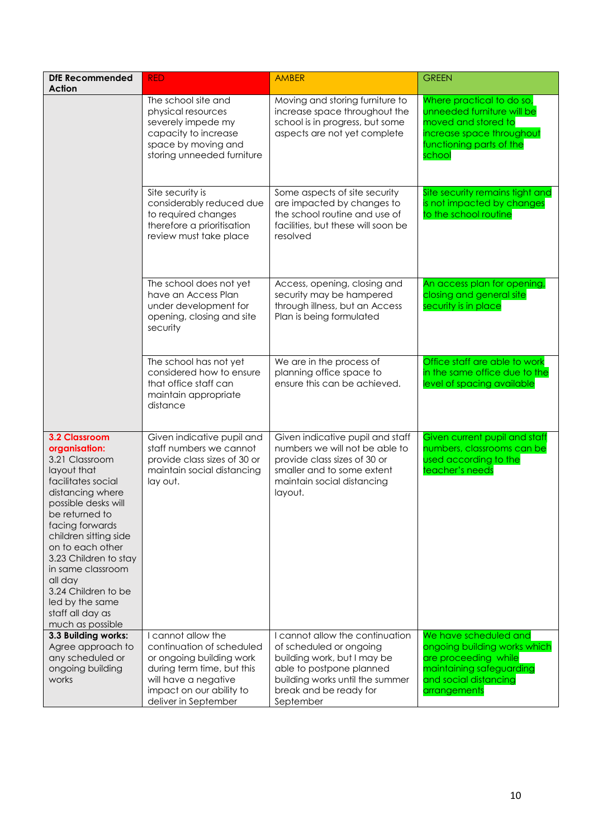| <b>DfE Recommended</b>                                                                                                                                                                                                                                                                                                                                               | <b>RED</b>                                                                                                                                                                            | <b>AMBER</b>                                                                                                                                                                                    | <b>GREEN</b>                                                                                                                                       |
|----------------------------------------------------------------------------------------------------------------------------------------------------------------------------------------------------------------------------------------------------------------------------------------------------------------------------------------------------------------------|---------------------------------------------------------------------------------------------------------------------------------------------------------------------------------------|-------------------------------------------------------------------------------------------------------------------------------------------------------------------------------------------------|----------------------------------------------------------------------------------------------------------------------------------------------------|
| <b>Action</b>                                                                                                                                                                                                                                                                                                                                                        |                                                                                                                                                                                       |                                                                                                                                                                                                 |                                                                                                                                                    |
|                                                                                                                                                                                                                                                                                                                                                                      | The school site and<br>physical resources<br>severely impede my<br>capacity to increase<br>space by moving and<br>storing unneeded furniture                                          | Moving and storing furniture to<br>increase space throughout the<br>school is in progress, but some<br>aspects are not yet complete                                                             | Where practical to do so,<br>unneeded furniture will be<br>moved and stored to<br>increase space throughout<br>functioning parts of the<br>school  |
|                                                                                                                                                                                                                                                                                                                                                                      | Site security is<br>considerably reduced due<br>to required changes<br>therefore a prioritisation<br>review must take place                                                           | Some aspects of site security<br>are impacted by changes to<br>the school routine and use of<br>facilities, but these will soon be<br>resolved                                                  | Site security remains tight and<br>is not impacted by changes<br>to the school routine                                                             |
|                                                                                                                                                                                                                                                                                                                                                                      | The school does not yet<br>have an Access Plan<br>under development for<br>opening, closing and site<br>security                                                                      | Access, opening, closing and<br>security may be hampered<br>through illness, but an Access<br>Plan is being formulated                                                                          | An access plan for opening,<br>closing and general site<br>security is in place                                                                    |
|                                                                                                                                                                                                                                                                                                                                                                      | The school has not yet<br>considered how to ensure<br>that office staff can<br>maintain appropriate<br>distance                                                                       | We are in the process of<br>planning office space to<br>ensure this can be achieved.                                                                                                            | Office staff are able to work<br>in the same office due to the<br>level of spacing available                                                       |
| <b>3.2 Classroom</b><br>organisation:<br>3.21 Classroom<br>layout that<br>facilitates social<br>distancing where<br>possible desks will<br>be returned to<br>facing forwards<br>children sitting side<br>on to each other<br>3.23 Children to stay<br>in same classroom<br>all day<br>3.24 Children to be<br>led by the same<br>staff all day as<br>much as possible | Given indicative pupil and<br>staff numbers we cannot<br>provide class sizes of 30 or<br>maintain social distancing<br>lay out.                                                       | Given indicative pupil and staff<br>numbers we will not be able to<br>provide class sizes of 30 or<br>smaller and to some extent<br>maintain social distancing<br>layout.                       | Given current pupil and staff<br>numbers, classrooms can be<br>used according to the<br>teacher's needs                                            |
| 3.3 Building works:<br>Agree approach to<br>any scheduled or<br>ongoing building<br>works                                                                                                                                                                                                                                                                            | I cannot allow the<br>continuation of scheduled<br>or ongoing building work<br>during term time, but this<br>will have a negative<br>impact on our ability to<br>deliver in September | I cannot allow the continuation<br>of scheduled or ongoing<br>building work, but I may be<br>able to postpone planned<br>building works until the summer<br>break and be ready for<br>September | We have scheduled and<br>ongoing building works which<br>are proceeding while<br>maintaining safeguarding<br>and social distancing<br>arrangements |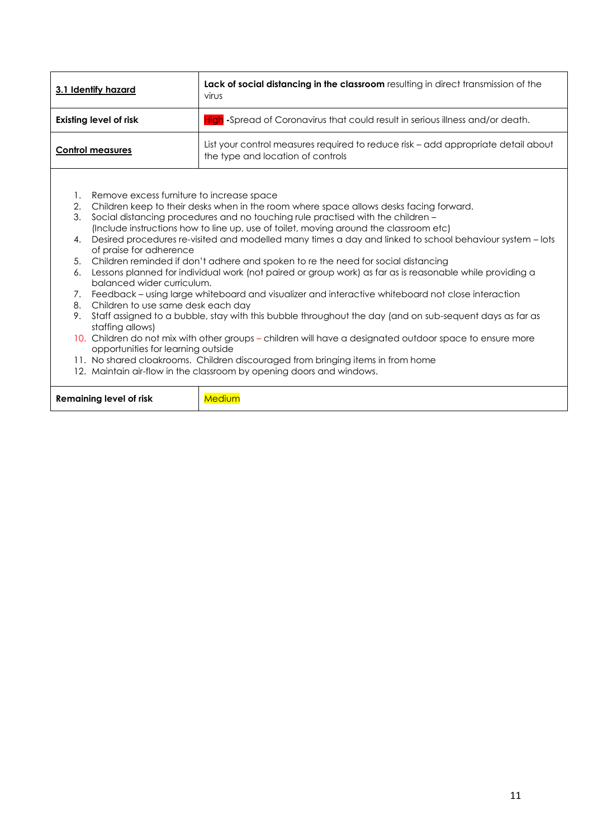| 3.1 Identify hazard                                                                                                                            | Lack of social distancing in the classroom resulting in direct transmission of the<br>virus                                                                                                                                                                              |  |  |
|------------------------------------------------------------------------------------------------------------------------------------------------|--------------------------------------------------------------------------------------------------------------------------------------------------------------------------------------------------------------------------------------------------------------------------|--|--|
| <b>Existing level of risk</b>                                                                                                                  | <b>High</b> -Spread of Coronavirus that could result in serious illness and/or death.                                                                                                                                                                                    |  |  |
| <b>Control measures</b>                                                                                                                        | List your control measures required to reduce risk – add appropriate detail about<br>the type and location of controls                                                                                                                                                   |  |  |
| Remove excess furniture to increase space<br>1.                                                                                                |                                                                                                                                                                                                                                                                          |  |  |
| 3.                                                                                                                                             | Children keep to their desks when in the room where space allows desks facing forward.<br>2.<br>Social distancing procedures and no touching rule practised with the children -<br>(Include instructions how to line up, use of toilet, moving around the classroom etc) |  |  |
| 4.<br>of praise for adherence                                                                                                                  | Desired procedures re-visited and modelled many times a day and linked to school behaviour system - lots                                                                                                                                                                 |  |  |
| 5.                                                                                                                                             | Children reminded if don't adhere and spoken to re the need for social distancing                                                                                                                                                                                        |  |  |
| balanced wider curriculum.                                                                                                                     | Lessons planned for individual work (not paired or group work) as far as is reasonable while providing a<br>6.                                                                                                                                                           |  |  |
| 7.                                                                                                                                             | Feedback - using large whiteboard and visualizer and interactive whiteboard not close interaction                                                                                                                                                                        |  |  |
| 8.                                                                                                                                             | Children to use same desk each day                                                                                                                                                                                                                                       |  |  |
| 9.<br>staffing allows)                                                                                                                         | Staff assigned to a bubble, stay with this bubble throughout the day (and on sub-sequent days as far as                                                                                                                                                                  |  |  |
| 10. Children do not mix with other groups – children will have a designated outdoor space to ensure more<br>opportunities for learning outside |                                                                                                                                                                                                                                                                          |  |  |
|                                                                                                                                                | 11. No shared cloakrooms. Children discouraged from bringing items in from home                                                                                                                                                                                          |  |  |
| 12. Maintain air-flow in the classroom by opening doors and windows.                                                                           |                                                                                                                                                                                                                                                                          |  |  |
| <b>Remaining level of risk</b>                                                                                                                 | Medium                                                                                                                                                                                                                                                                   |  |  |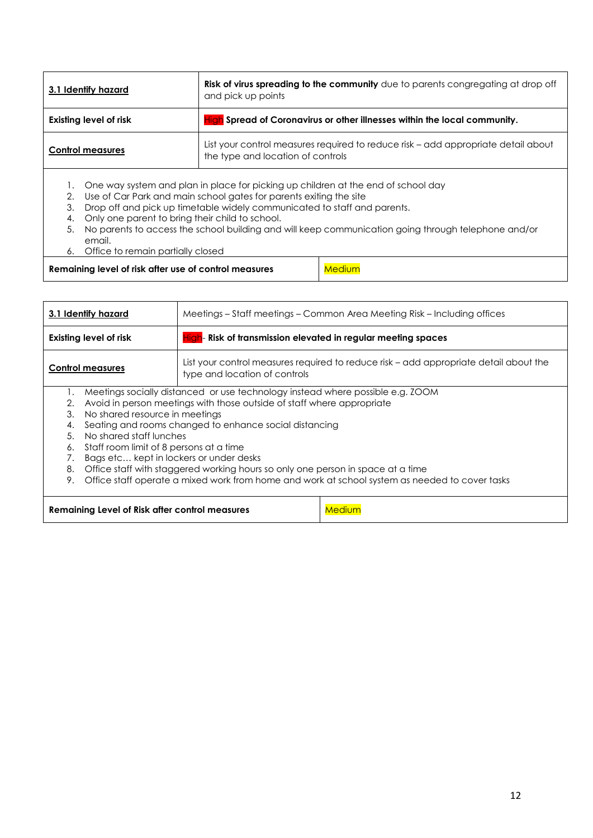| 3.1 Identify hazard                                                                                                                               | Risk of virus spreading to the community due to parents congregating at drop off<br>and pick up points                           |  |
|---------------------------------------------------------------------------------------------------------------------------------------------------|----------------------------------------------------------------------------------------------------------------------------------|--|
| <b>Existing level of risk</b>                                                                                                                     | High Spread of Coronavirus or other illnesses within the local community.                                                        |  |
| List your control measures required to reduce risk - add appropriate detail about<br><b>Control measures</b><br>the type and location of controls |                                                                                                                                  |  |
|                                                                                                                                                   | $\blacksquare$ . $\bigtriangleup$ . The second state of the second states in the second state of the second states of the second |  |

- 1. One way system and plan in place for picking up children at the end of school day
- 2. Use of Car Park and main school gates for parents exiting the site
- 3. Drop off and pick up timetable widely communicated to staff and parents.
- 4. Only one parent to bring their child to school.
- 5. No parents to access the school building and will keep communication going through telephone and/or email.
- 6. Office to remain partially closed

**Remaining level of risk after use of control measures** Medium

| Meetings – Staff meetings – Common Area Meeting Risk – Including offices<br>3.1 Identify hazard                                                                                                                                                                                                                                                                                                                                                                                                                                                                                                                        |  |  |
|------------------------------------------------------------------------------------------------------------------------------------------------------------------------------------------------------------------------------------------------------------------------------------------------------------------------------------------------------------------------------------------------------------------------------------------------------------------------------------------------------------------------------------------------------------------------------------------------------------------------|--|--|
| <b>Existing level of risk</b><br>High-Risk of transmission elevated in regular meeting spaces                                                                                                                                                                                                                                                                                                                                                                                                                                                                                                                          |  |  |
| List your control measures required to reduce risk – add appropriate detail about the<br><b>Control measures</b><br>type and location of controls                                                                                                                                                                                                                                                                                                                                                                                                                                                                      |  |  |
| Meetings socially distanced or use technology instead where possible e.g. ZOOM<br>Avoid in person meetings with those outside of staff where appropriate<br>2.<br>No shared resource in meetings<br>3.<br>Seating and rooms changed to enhance social distancing<br>4.<br>No shared staff lunches<br>5 <sub>1</sub><br>Staff room limit of 8 persons at a time<br>6.<br>Bags etc kept in lockers or under desks<br>7.<br>Office staff with staggered working hours so only one person in space at a time<br>8.<br>Office staff operate a mixed work from home and work at school system as needed to cover tasks<br>9. |  |  |
| Remaining Level of Risk after control measures<br>Medium                                                                                                                                                                                                                                                                                                                                                                                                                                                                                                                                                               |  |  |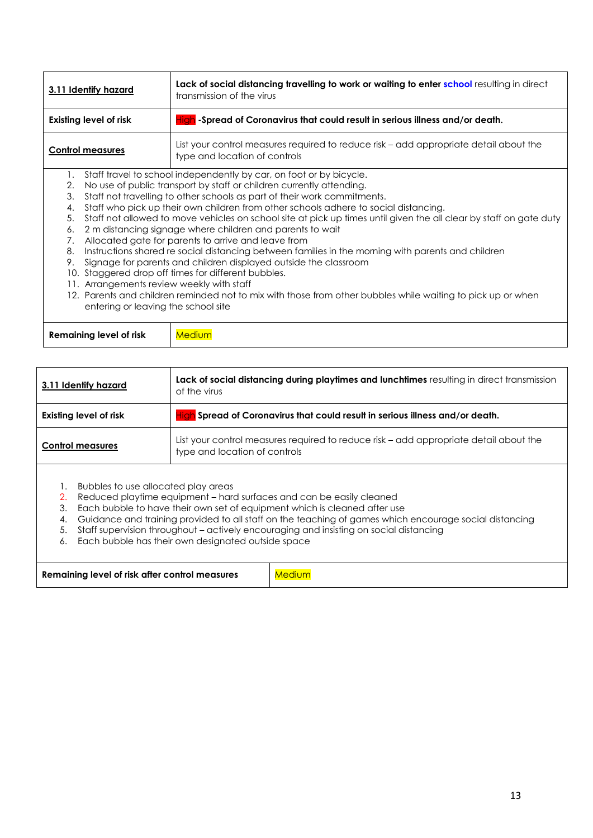| 3.11 Identify hazard                                                                                                                   | Lack of social distancing travelling to work or waiting to enter school resulting in direct<br>transmission of the virus                                                                                                                                                                                                                                                                                                                                                                                                                                                                                                                                                                                                                                                                                                                                                                                  |  |  |
|----------------------------------------------------------------------------------------------------------------------------------------|-----------------------------------------------------------------------------------------------------------------------------------------------------------------------------------------------------------------------------------------------------------------------------------------------------------------------------------------------------------------------------------------------------------------------------------------------------------------------------------------------------------------------------------------------------------------------------------------------------------------------------------------------------------------------------------------------------------------------------------------------------------------------------------------------------------------------------------------------------------------------------------------------------------|--|--|
| <b>Existing level of risk</b>                                                                                                          | High -Spread of Coronavirus that could result in serious illness and/or death.                                                                                                                                                                                                                                                                                                                                                                                                                                                                                                                                                                                                                                                                                                                                                                                                                            |  |  |
| <b>Control measures</b>                                                                                                                | List your control measures required to reduce risk – add appropriate detail about the<br>type and location of controls                                                                                                                                                                                                                                                                                                                                                                                                                                                                                                                                                                                                                                                                                                                                                                                    |  |  |
| 1.<br>2.<br>3.<br>4.<br>5.<br>6.<br>7.<br>8.<br>9.<br>11. Arrangements review weekly with staff<br>entering or leaving the school site | Staff travel to school independently by car, on foot or by bicycle.<br>No use of public transport by staff or children currently attending.<br>Staff not travelling to other schools as part of their work commitments.<br>Staff who pick up their own children from other schools adhere to social distancing.<br>Staff not allowed to move vehicles on school site at pick up times until given the all clear by staff on gate duty<br>2 m distancing signage where children and parents to wait<br>Allocated gate for parents to arrive and leave from<br>Instructions shared re social distancing between families in the morning with parents and children<br>Signage for parents and children displayed outside the classroom<br>10. Staggered drop off times for different bubbles.<br>12. Parents and children reminded not to mix with those from other bubbles while waiting to pick up or when |  |  |
| <b>Remaining level of risk</b>                                                                                                         | <b>Medium</b>                                                                                                                                                                                                                                                                                                                                                                                                                                                                                                                                                                                                                                                                                                                                                                                                                                                                                             |  |  |

| 3.11 Identify hazard          | Lack of social distancing during playtimes and lunchtimes resulting in direct transmission<br>of the virus             |  |
|-------------------------------|------------------------------------------------------------------------------------------------------------------------|--|
| <b>Existing level of risk</b> | High Spread of Coronavirus that could result in serious illness and/or death.                                          |  |
| <b>Control measures</b>       | List your control measures required to reduce risk – add appropriate detail about the<br>type and location of controls |  |
|                               |                                                                                                                        |  |

- 1. Bubbles to use allocated play areas
- 2. Reduced playtime equipment hard surfaces and can be easily cleaned
- 3. Each bubble to have their own set of equipment which is cleaned after use
- 4. Guidance and training provided to all staff on the teaching of games which encourage social distancing
- 5. Staff supervision throughout actively encouraging and insisting on social distancing
- 6. Each bubble has their own designated outside space

| <b>Remaining level of risk after control measures</b><br><b>Medium</b> |
|------------------------------------------------------------------------|
|------------------------------------------------------------------------|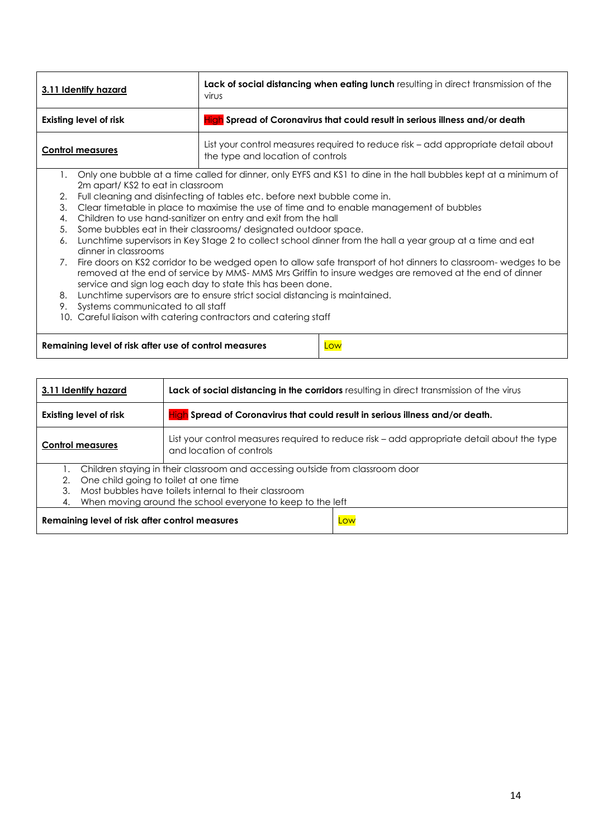| 3.11 Identify hazard                                             |                                                                                                | Lack of social distancing when eating lunch resulting in direct transmission of the<br>virus                           |  |  |  |
|------------------------------------------------------------------|------------------------------------------------------------------------------------------------|------------------------------------------------------------------------------------------------------------------------|--|--|--|
| <b>Existing level of risk</b>                                    |                                                                                                | High Spread of Coronavirus that could result in serious illness and/or death                                           |  |  |  |
| <b>Control measures</b>                                          |                                                                                                | List your control measures required to reduce risk – add appropriate detail about<br>the type and location of controls |  |  |  |
| 1.                                                               |                                                                                                | Only one bubble at a time called for dinner, only EYFS and KS1 to dine in the hall bubbles kept at a minimum of        |  |  |  |
|                                                                  | 2m apart/KS2 to eat in classroom                                                               |                                                                                                                        |  |  |  |
|                                                                  | Full cleaning and disinfecting of tables etc. before next bubble come in.<br>2.                |                                                                                                                        |  |  |  |
|                                                                  | 3.<br>Clear timetable in place to maximise the use of time and to enable management of bubbles |                                                                                                                        |  |  |  |
|                                                                  | Children to use hand-sanitizer on entry and exit from the hall<br>4.                           |                                                                                                                        |  |  |  |
| 5.                                                               |                                                                                                | Some bubbles eat in their classrooms/designated outdoor space.                                                         |  |  |  |
| 6.                                                               | dinner in classrooms                                                                           | Lunchtime supervisors in Key Stage 2 to collect school dinner from the hall a year group at a time and eat             |  |  |  |
| 7.                                                               |                                                                                                | Fire doors on KS2 corridor to be wedged open to allow safe transport of hot dinners to classroom- wedges to be         |  |  |  |
|                                                                  |                                                                                                | removed at the end of service by MMS-MMS Mrs Griffin to insure wedges are removed at the end of dinner                 |  |  |  |
|                                                                  |                                                                                                | service and sign log each day to state this has been done.                                                             |  |  |  |
| 8.                                                               | Lunchtime supervisors are to ensure strict social distancing is maintained.                    |                                                                                                                        |  |  |  |
| 9.                                                               | Systems communicated to all staff                                                              |                                                                                                                        |  |  |  |
| 10. Careful liaison with catering contractors and catering staff |                                                                                                |                                                                                                                        |  |  |  |
|                                                                  |                                                                                                |                                                                                                                        |  |  |  |
|                                                                  | Low<br>Remaining level of risk after use of control measures                                   |                                                                                                                        |  |  |  |

| 3.11 Identify hazard                           | Lack of social distancing in the corridors resulting in direct transmission of the virus                                                                                                                                                      |  |
|------------------------------------------------|-----------------------------------------------------------------------------------------------------------------------------------------------------------------------------------------------------------------------------------------------|--|
| <b>Existing level of risk</b>                  | High Spread of Coronavirus that could result in serious illness and/or death.                                                                                                                                                                 |  |
| <b>Control measures</b>                        | List your control measures required to reduce risk - add appropriate detail about the type<br>and location of controls                                                                                                                        |  |
| 2.<br>3.<br>4.                                 | Children staying in their classroom and accessing outside from classroom door<br>One child going to toilet at one time<br>Most bubbles have toilets internal to their classroom<br>When moving around the school everyone to keep to the left |  |
| Remaining level of risk after control measures | Low                                                                                                                                                                                                                                           |  |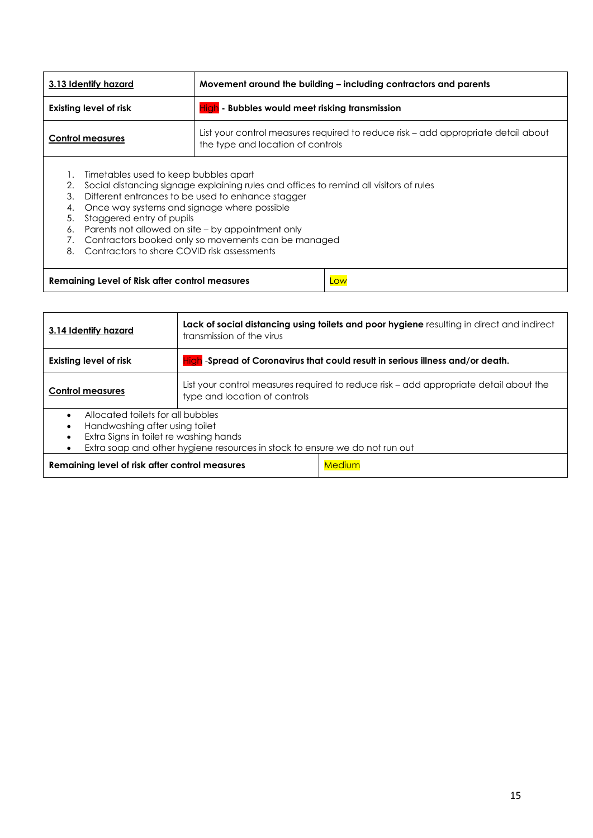| 3.13 Identify hazard                                                                                                                                                                                                                                                                                                                                                                                                                                            |  | Movement around the building – including contractors and parents                                                       |  |
|-----------------------------------------------------------------------------------------------------------------------------------------------------------------------------------------------------------------------------------------------------------------------------------------------------------------------------------------------------------------------------------------------------------------------------------------------------------------|--|------------------------------------------------------------------------------------------------------------------------|--|
| High - Bubbles would meet risking transmission<br><b>Existing level of risk</b>                                                                                                                                                                                                                                                                                                                                                                                 |  |                                                                                                                        |  |
| <b>Control measures</b>                                                                                                                                                                                                                                                                                                                                                                                                                                         |  | List your control measures required to reduce risk – add appropriate detail about<br>the type and location of controls |  |
| Timetables used to keep bubbles apart<br>Social distancing signage explaining rules and offices to remind all visitors of rules<br>2.<br>Different entrances to be used to enhance stagger<br>3.<br>Once way systems and signage where possible<br>4.<br>Staggered entry of pupils<br>5.<br>Parents not allowed on site – by appointment only<br>6.<br>Contractors booked only so movements can be managed<br>Contractors to share COVID risk assessments<br>8. |  |                                                                                                                        |  |
| Remaining Level of Risk after control measures<br>Low                                                                                                                                                                                                                                                                                                                                                                                                           |  |                                                                                                                        |  |

| 3.14 Identify hazard                                                                                                                                                                         | Lack of social distancing using toilets and poor hygiene resulting in direct and indirect<br>transmission of the virus |  |
|----------------------------------------------------------------------------------------------------------------------------------------------------------------------------------------------|------------------------------------------------------------------------------------------------------------------------|--|
| Existing level of risk                                                                                                                                                                       | High -Spread of Coronavirus that could result in serious illness and/or death.                                         |  |
| <b>Control measures</b>                                                                                                                                                                      | List your control measures required to reduce risk – add appropriate detail about the<br>type and location of controls |  |
| Allocated toilets for all bubbles<br>Handwashing after using toilet<br>Extra Signs in toilet re washing hands<br>Extra soap and other hygiene resources in stock to ensure we do not run out |                                                                                                                        |  |
| Medium<br>Remaining level of risk after control measures                                                                                                                                     |                                                                                                                        |  |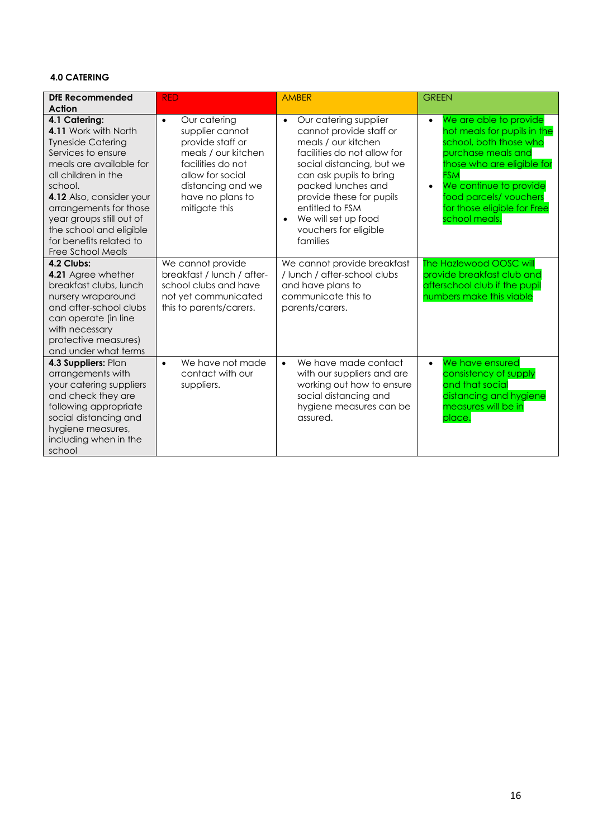## **4.0 CATERING**

| DfE Recommended<br>Action                                                                                                                                                                                                                                                                                         | <b>RED</b>                                                                                                                                                                                 | <b>AMBER</b>                                                                                                                                                                                                                                                                                                 | <b>GREEN</b>                                                                                                                                                                                                                                                                   |
|-------------------------------------------------------------------------------------------------------------------------------------------------------------------------------------------------------------------------------------------------------------------------------------------------------------------|--------------------------------------------------------------------------------------------------------------------------------------------------------------------------------------------|--------------------------------------------------------------------------------------------------------------------------------------------------------------------------------------------------------------------------------------------------------------------------------------------------------------|--------------------------------------------------------------------------------------------------------------------------------------------------------------------------------------------------------------------------------------------------------------------------------|
| 4.1 Catering:<br>4.11 Work with North<br><b>Tyneside Catering</b><br>Services to ensure<br>meals are available for<br>all children in the<br>school.<br>4.12 Also, consider your<br>arrangements for those<br>year groups still out of<br>the school and eligible<br>for benefits related to<br>Free School Meals | Our catering<br>$\bullet$<br>supplier cannot<br>provide staff or<br>meals / our kitchen<br>facilities do not<br>allow for social<br>distancing and we<br>have no plans to<br>mitigate this | Our catering supplier<br>$\bullet$<br>cannot provide staff or<br>meals / our kitchen<br>facilities do not allow for<br>social distancing, but we<br>can ask pupils to bring<br>packed lunches and<br>provide these for pupils<br>entitled to FSM<br>We will set up food<br>vouchers for eligible<br>families | We are able to provide<br>$\bullet$<br>hot meals for pupils in the<br>school, both those who<br>purchase meals and<br>those who are eligible for<br><b>FSM</b><br>We continue to provide<br>$\bullet$<br>food parcels/vouchers<br>for those eligible for Free<br>school meals. |
| 4.2 Clubs:<br>4.21 Agree whether<br>breakfast clubs, lunch<br>nursery wraparound<br>and after-school clubs<br>can operate (in line<br>with necessary<br>protective measures)<br>and under what terms                                                                                                              | We cannot provide<br>breakfast / lunch / after-<br>school clubs and have<br>not yet communicated<br>this to parents/carers.                                                                | We cannot provide breakfast<br>/ lunch / after-school clubs<br>and have plans to<br>communicate this to<br>parents/carers.                                                                                                                                                                                   | The Hazlewood OOSC will<br>provide breakfast club and<br>afterschool club if the pupil<br>numbers make this viable                                                                                                                                                             |
| 4.3 Suppliers: Plan<br>arrangements with<br>your catering suppliers<br>and check they are<br>following appropriate<br>social distancing and<br>hygiene measures,<br>including when in the<br>school                                                                                                               | We have not made<br>$\bullet$<br>contact with our<br>suppliers.                                                                                                                            | We have made contact<br>$\bullet$<br>with our suppliers and are<br>working out how to ensure<br>social distancing and<br>hygiene measures can be<br>assured.                                                                                                                                                 | We have ensured<br>$\bullet$<br>consistency of supply<br>and that social<br>distancing and hygiene<br>measures will be in<br>place.                                                                                                                                            |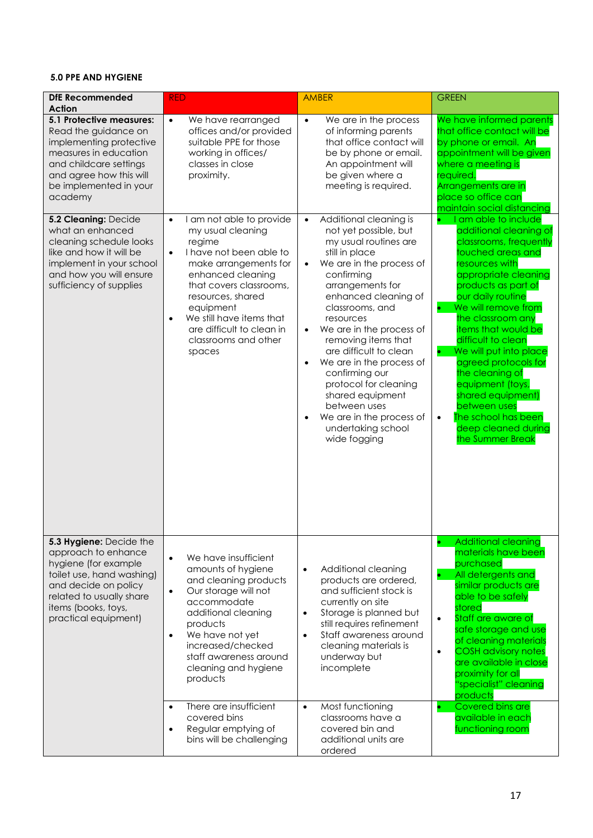## **5.0 PPE AND HYGIENE**

| <b>DfE Recommended</b><br><b>Action</b>                                                                                                                                                                | <b>RED</b>                                                                                                                                                                                                                                                                                                                      | <b>AMBER</b>                                                                                                                                                                                                                                                                                                                                                                                                                                                                                                      | <b>GREEN</b>                                                                                                                                                                                                                                                                                                                                                                                                                                                                                     |
|--------------------------------------------------------------------------------------------------------------------------------------------------------------------------------------------------------|---------------------------------------------------------------------------------------------------------------------------------------------------------------------------------------------------------------------------------------------------------------------------------------------------------------------------------|-------------------------------------------------------------------------------------------------------------------------------------------------------------------------------------------------------------------------------------------------------------------------------------------------------------------------------------------------------------------------------------------------------------------------------------------------------------------------------------------------------------------|--------------------------------------------------------------------------------------------------------------------------------------------------------------------------------------------------------------------------------------------------------------------------------------------------------------------------------------------------------------------------------------------------------------------------------------------------------------------------------------------------|
| 5.1 Protective measures:<br>Read the guidance on<br>implementing protective<br>measures in education<br>and childcare settings<br>and agree how this will<br>be implemented in your<br>academy         | $\bullet$<br>We have rearranged<br>offices and/or provided<br>suitable PPE for those<br>working in offices/<br>classes in close<br>proximity.                                                                                                                                                                                   | We are in the process<br>$\bullet$<br>of informing parents<br>that office contact will<br>be by phone or email.<br>An appointment will<br>be given where a<br>meeting is required.                                                                                                                                                                                                                                                                                                                                | We have informed parents<br>that office contact will be<br>by phone or email. An<br>appointment will be given<br>where a meeting is<br>required.<br>Arrangements are in<br>place so office can<br>maintain social distancing                                                                                                                                                                                                                                                                     |
| 5.2 Cleaning: Decide<br>what an enhanced<br>cleaning schedule looks<br>like and how it will be<br>implement in your school<br>and how you will ensure<br>sufficiency of supplies                       | I am not able to provide<br>$\bullet$<br>my usual cleaning<br>regime<br>I have not been able to<br>$\bullet$<br>make arrangements for<br>enhanced cleaning<br>that covers classrooms,<br>resources, shared<br>equipment<br>We still have items that<br>$\bullet$<br>are difficult to clean in<br>classrooms and other<br>spaces | Additional cleaning is<br>$\bullet$<br>not yet possible, but<br>my usual routines are<br>still in place<br>We are in the process of<br>$\bullet$<br>confirming<br>arrangements for<br>enhanced cleaning of<br>classrooms, and<br>resources<br>We are in the process of<br>$\bullet$<br>removing items that<br>are difficult to clean<br>We are in the process of<br>confirming our<br>protocol for cleaning<br>shared equipment<br>between uses<br>We are in the process of<br>undertaking school<br>wide fogging | I am able to include<br>additional cleaning of<br>classrooms, frequently<br>touched areas and<br>resources with<br>appropriate cleaning<br>products as part of<br>our daily routine<br>We will remove from<br>the classroom any<br><b>items that would be</b><br>difficult to clean<br>We will put into place<br>agreed protocols for<br>the cleaning of<br>equipment (toys,<br>shared equipment)<br>between uses<br>The school has been<br>$\bullet$<br>deep cleaned during<br>the Summer Break |
| 5.3 Hygiene: Decide the<br>approach to enhance<br>hygiene (for example<br>toilet use, hand washing)<br>and decide on policy<br>related to usually share<br>items (books, toys,<br>practical equipment) | We have insufficient<br>$\bullet$<br>amounts of hygiene<br>and cleaning products<br>Our storage will not<br>$\bullet$<br>accommodate<br>additional cleaning<br>products<br>We have not yet<br>$\bullet$<br>increased/checked<br>staff awareness around<br>cleaning and hygiene<br>products                                      | Additional cleaning<br>$\bullet$<br>products are ordered,<br>and sufficient stock is<br>currently on site<br>Storage is planned but<br>$\bullet$<br>still requires refinement<br>Staff awareness around<br>$\bullet$<br>cleaning materials is<br>underway but<br>incomplete                                                                                                                                                                                                                                       | <b>Additional cleaning</b><br>materials have been<br>purchased<br>All detergents and<br>similar products are<br>able to be safely<br>stored<br>Staff are aware of<br>$\bullet$<br>safe storage and use<br>of cleaning materials<br><b>COSH</b> advisory notes<br>$\bullet$<br>are available in close<br>proximity for all<br>"specialist" cleaning<br>products                                                                                                                                   |
|                                                                                                                                                                                                        | There are insufficient<br>$\bullet$<br>covered bins<br>Regular emptying of<br>$\bullet$<br>bins will be challenging                                                                                                                                                                                                             | Most functioning<br>$\bullet$<br>classrooms have a<br>covered bin and<br>additional units are<br>ordered                                                                                                                                                                                                                                                                                                                                                                                                          | Covered bins are<br>$\bullet$<br>available in each<br>functioning room                                                                                                                                                                                                                                                                                                                                                                                                                           |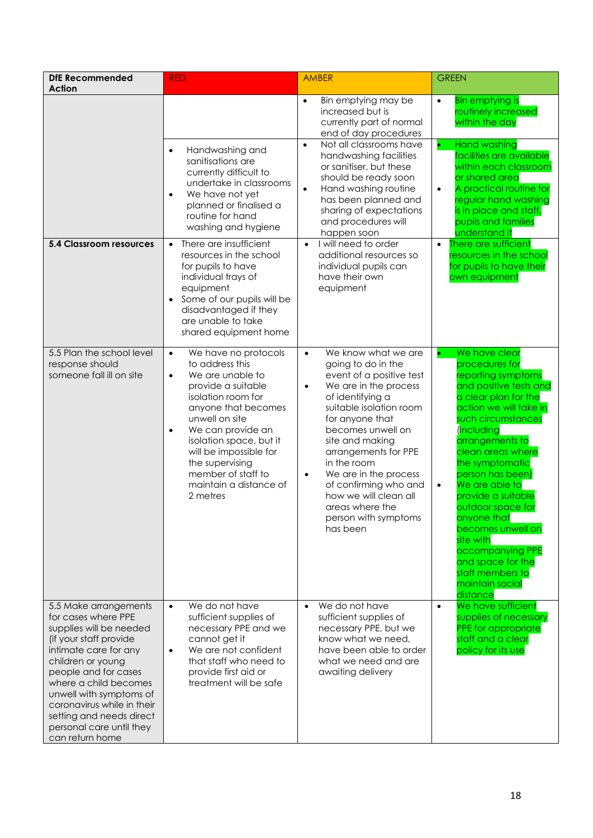| <b>DfE Recommended</b><br><b>Action</b>                                                                                                                                                                                                                                                                                              | <b>RED</b>                                                                                                                                                                                                                                                                                                                                       | <b>AMBER</b>                                                                                                                                                                                                                                                                                                                                                                                                             | <b>GREEN</b>                                                                                                                                                                                                                                                                                                                                                                                                                                                                                   |
|--------------------------------------------------------------------------------------------------------------------------------------------------------------------------------------------------------------------------------------------------------------------------------------------------------------------------------------|--------------------------------------------------------------------------------------------------------------------------------------------------------------------------------------------------------------------------------------------------------------------------------------------------------------------------------------------------|--------------------------------------------------------------------------------------------------------------------------------------------------------------------------------------------------------------------------------------------------------------------------------------------------------------------------------------------------------------------------------------------------------------------------|------------------------------------------------------------------------------------------------------------------------------------------------------------------------------------------------------------------------------------------------------------------------------------------------------------------------------------------------------------------------------------------------------------------------------------------------------------------------------------------------|
| <b>5.4 Classroom resources</b>                                                                                                                                                                                                                                                                                                       | Handwashing and<br>$\bullet$<br>sanitisations are<br>currently difficult to<br>undertake in classrooms<br>We have not yet<br>$\bullet$<br>planned or finalised a<br>routine for hand<br>washing and hygiene<br>There are insufficient<br>$\bullet$                                                                                               | Bin emptying may be<br>$\bullet$<br>increased but is<br>currently part of normal<br>end of day procedures<br>Not all classrooms have<br>$\bullet$<br>handwashing facilities<br>or sanitiser, but these<br>should be ready soon<br>Hand washing routine<br>$\bullet$<br>has been planned and<br>sharing of expectations<br>and procedures will<br>happen soon<br>I will need to order<br>$\bullet$                        | <b>Bin emptying is</b><br>$\bullet$<br>routinely increased<br>within the day<br><b>Hand washing</b><br>$\bullet$<br>facilities are available<br>within each classroom<br>or shared area<br>A practical routine for<br>$\bullet$<br>regular hand washing<br>is in place and staff,<br>pupils and families<br>understand it<br>There are sufficient<br>$\bullet$                                                                                                                                 |
|                                                                                                                                                                                                                                                                                                                                      | resources in the school<br>for pupils to have<br>individual trays of<br>equipment<br>Some of our pupils will be<br>$\bullet$<br>disadvantaged if they<br>are unable to take<br>shared equipment home                                                                                                                                             | additional resources so<br>individual pupils can<br>have their own<br>equipment                                                                                                                                                                                                                                                                                                                                          | resources in the school<br>for pupils to have their<br>own equipment                                                                                                                                                                                                                                                                                                                                                                                                                           |
| 5.5 Plan the school level<br>response should<br>someone fall ill on site                                                                                                                                                                                                                                                             | We have no protocols<br>$\bullet$<br>to address this<br>We are unable to<br>$\bullet$<br>provide a suitable<br>isolation room for<br>anyone that becomes<br>unwell on site<br>We can provide an<br>$\bullet$<br>isolation space, but it<br>will be impossible for<br>the supervising<br>member of staff to<br>maintain a distance of<br>2 metres | We know what we are<br>$\bullet$<br>going to do in the<br>event of a positive test<br>We are in the process<br>$\bullet$<br>of identifying a<br>suitable isolation room<br>for anyone that<br>becomes unwell on<br>site and making<br>arrangements for PPE<br>in the room<br>We are in the process<br>$\bullet$<br>of confirming who and<br>how we will clean all<br>areas where the<br>person with symptoms<br>has been | We have clear<br>$\bullet$<br>procedures for<br>reporting symptoms<br>and positive tests and<br>a clear plan for the<br>action we will take in<br>such circumstances<br><i>including</i><br>arrangements to<br>clean areas where<br>the symptomatic<br>person has been)<br>We are able to<br>$\bullet$<br>provide a suitable<br>outdoor space for<br>anyone that<br>becomes unwell on<br>site with<br>accompanying PPE<br>and space for the<br>staff members to<br>maintain social<br>distance |
| 5.5 Make arrangements<br>for cases where PPE<br>supplies will be needed<br>(if your staff provide<br>intimate care for any<br>children or young<br>people and for cases<br>where a child becomes<br>unwell with symptoms of<br>coronavirus while in their<br>setting and needs direct<br>personal care until they<br>can return home | We do not have<br>$\bullet$<br>sufficient supplies of<br>necessary PPE and we<br>cannot get it<br>We are not confident<br>$\bullet$<br>that staff who need to<br>provide first aid or<br>treatment will be safe                                                                                                                                  | We do not have<br>$\bullet$<br>sufficient supplies of<br>necessary PPE, but we<br>know what we need,<br>have been able to order<br>what we need and are<br>awaiting delivery                                                                                                                                                                                                                                             | We have sufficient<br>$\bullet$<br>supplies of necessary<br>PPE for appropriate<br>staff and a clear<br>policy for its use                                                                                                                                                                                                                                                                                                                                                                     |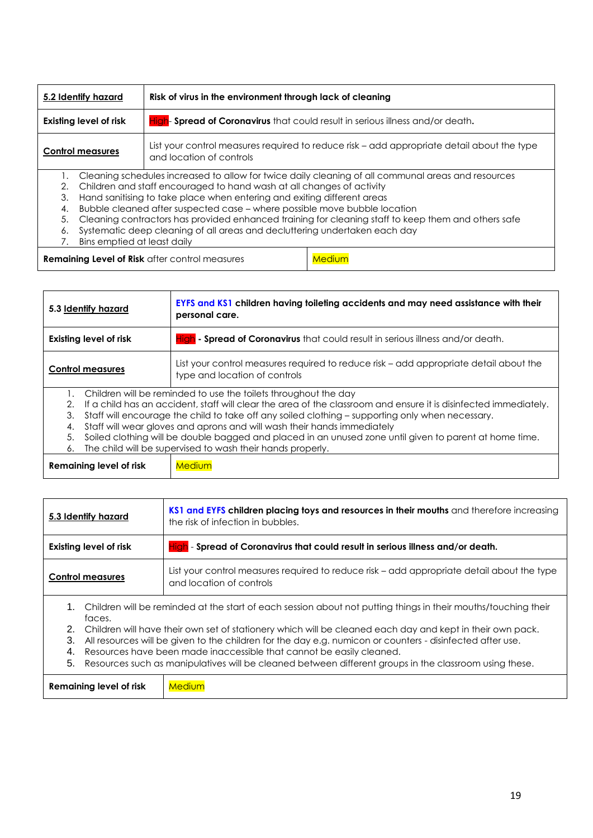| 5.2 Identify hazard                                                                                       |                                                                       | Risk of virus in the environment through lack of cleaning                                                              |        |
|-----------------------------------------------------------------------------------------------------------|-----------------------------------------------------------------------|------------------------------------------------------------------------------------------------------------------------|--------|
| <b>Existing level of risk</b>                                                                             |                                                                       | High- Spread of Coronavirus that could result in serious illness and/or death.                                         |        |
| <b>Control measures</b>                                                                                   |                                                                       | List your control measures required to reduce risk - add appropriate detail about the type<br>and location of controls |        |
| Cleaning schedules increased to allow for twice daily cleaning of all communal areas and resources        |                                                                       |                                                                                                                        |        |
| 2.                                                                                                        | Children and staff encouraged to hand wash at all changes of activity |                                                                                                                        |        |
| 3.                                                                                                        |                                                                       | Hand sanitising to take place when entering and exiting different areas                                                |        |
| 4.                                                                                                        |                                                                       | Bubble cleaned after suspected case - where possible move bubble location                                              |        |
| Cleaning contractors has provided enhanced training for cleaning staff to keep them and others safe<br>5. |                                                                       |                                                                                                                        |        |
| Systematic deep cleaning of all areas and decluttering undertaken each day<br>6.                          |                                                                       |                                                                                                                        |        |
| Bins emptied at least daily                                                                               |                                                                       |                                                                                                                        |        |
| <b>Remaining Level of Risk after control measures</b>                                                     |                                                                       |                                                                                                                        | Medium |

| 5.3 Identify hazard     |  | EYFS and KS1 children having toileting accidents and may need assistance with their<br>personal care.                  |  |
|-------------------------|--|------------------------------------------------------------------------------------------------------------------------|--|
| Existing level of risk  |  | High - Spread of Coronavirus that could result in serious illness and/or death.                                        |  |
| <b>Control measures</b> |  | List your control measures required to reduce risk - add appropriate detail about the<br>type and location of controls |  |
|                         |  | Children will be reminded to use the toilets throughout the day                                                        |  |
| 2.                      |  | If a child has an accident, staff will clear the area of the classroom and ensure it is disinfected immediately.       |  |
| 3.                      |  | Staff will encourage the child to take off any soiled clothing – supporting only when necessary.                       |  |
| 4.                      |  | Staff will wear gloves and aprons and will wash their hands immediately                                                |  |
| 5.                      |  | Soiled clothing will be double bagged and placed in an unused zone until given to parent at home time.                 |  |
| 6.                      |  | The child will be supervised to wash their hands properly.                                                             |  |
| Remaining level of risk |  | Medium                                                                                                                 |  |

| 5.3 Identify hazard            | KS1 and EYFS children placing toys and resources in their mouths and therefore increasing<br>the risk of infection in bubbles.                                                                                                                                                                                                                                                                                                                                                                                                |
|--------------------------------|-------------------------------------------------------------------------------------------------------------------------------------------------------------------------------------------------------------------------------------------------------------------------------------------------------------------------------------------------------------------------------------------------------------------------------------------------------------------------------------------------------------------------------|
| Existing level of risk         | $\frac{H c }{L}$ - Spread of Coronavirus that could result in serious illness and/or death.                                                                                                                                                                                                                                                                                                                                                                                                                                   |
| <b>Control measures</b>        | List your control measures required to reduce risk – add appropriate detail about the type<br>and location of controls                                                                                                                                                                                                                                                                                                                                                                                                        |
| faces.<br>2.<br>3.<br>4.<br>5. | 1. Children will be reminded at the start of each session about not putting things in their mouths/touching their<br>Children will have their own set of stationery which will be cleaned each day and kept in their own pack.<br>All resources will be given to the children for the day e.g. numicon or counters - disinfected after use.<br>Resources have been made inaccessible that cannot be easily cleaned.<br>Resources such as manipulatives will be cleaned between different groups in the classroom using these. |
| Remaining level of risk        | Medium                                                                                                                                                                                                                                                                                                                                                                                                                                                                                                                        |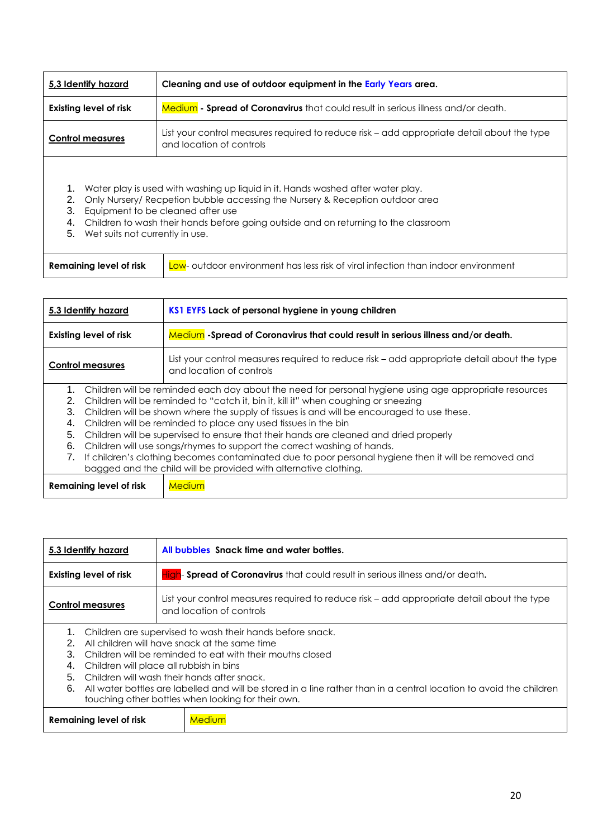| 5.3 Identify hazard                                                                                                                                                                                                                                                                                                                                           | Cleaning and use of outdoor equipment in the Early Years area.                                                         |  |
|---------------------------------------------------------------------------------------------------------------------------------------------------------------------------------------------------------------------------------------------------------------------------------------------------------------------------------------------------------------|------------------------------------------------------------------------------------------------------------------------|--|
| Existing level of risk                                                                                                                                                                                                                                                                                                                                        | <b>Medium - Spread of Coronavirus</b> that could result in serious illness and/or death.                               |  |
| <b>Control measures</b>                                                                                                                                                                                                                                                                                                                                       | List your control measures required to reduce risk – add appropriate detail about the type<br>and location of controls |  |
| Water play is used with washing up liquid in it. Hands washed after water play.<br>1.<br>Only Nursery/ Recpetion bubble accessing the Nursery & Reception outdoor area<br>2.<br>3.<br>Equipment to be cleaned after use<br>Children to wash their hands before going outside and on returning to the classroom<br>4.<br>5.<br>Wet suits not currently in use. |                                                                                                                        |  |
| <b>Remaining level of risk</b>                                                                                                                                                                                                                                                                                                                                | Low- outdoor environment has less risk of viral infection than indoor environment                                      |  |

| 5.3 Identify hazard              | KS1 EYFS Lack of personal hygiene in young children                                                                                                                                                                                                                                                                                                                                                                                                                                                                                                                                                                                                                                                          |
|----------------------------------|--------------------------------------------------------------------------------------------------------------------------------------------------------------------------------------------------------------------------------------------------------------------------------------------------------------------------------------------------------------------------------------------------------------------------------------------------------------------------------------------------------------------------------------------------------------------------------------------------------------------------------------------------------------------------------------------------------------|
| Existing level of risk           | Medium - Spread of Coronavirus that could result in serious illness and/or death.                                                                                                                                                                                                                                                                                                                                                                                                                                                                                                                                                                                                                            |
| <b>Control measures</b>          | List your control measures required to reduce risk – add appropriate detail about the type<br>and location of controls                                                                                                                                                                                                                                                                                                                                                                                                                                                                                                                                                                                       |
| 2.<br>3.<br>4.<br>5.<br>6.<br>7. | Children will be reminded each day about the need for personal hygiene using age appropriate resources<br>Children will be reminded to "catch it, bin it, kill it" when coughing or sneezing<br>Children will be shown where the supply of tissues is and will be encouraged to use these.<br>Children will be reminded to place any used tissues in the bin<br>Children will be supervised to ensure that their hands are cleaned and dried properly<br>Children will use songs/rhymes to support the correct washing of hands.<br>If children's clothing becomes contaminated due to poor personal hygiene then it will be removed and<br>bagged and the child will be provided with alternative clothing. |
| Remaining level of risk          | <b>Medium</b>                                                                                                                                                                                                                                                                                                                                                                                                                                                                                                                                                                                                                                                                                                |

| 5.3 Identify hazard                                                        |  | All bubbles Snack time and water bottles.                                                                                                                                                                                                                                                                                                                                                           |
|----------------------------------------------------------------------------|--|-----------------------------------------------------------------------------------------------------------------------------------------------------------------------------------------------------------------------------------------------------------------------------------------------------------------------------------------------------------------------------------------------------|
| Existing level of risk                                                     |  | <b>High- Spread of Coronavirus</b> that could result in serious illness and/or death.                                                                                                                                                                                                                                                                                                               |
| <b>Control measures</b>                                                    |  | List your control measures required to reduce risk – add appropriate detail about the type<br>and location of controls                                                                                                                                                                                                                                                                              |
| $1_{-}$<br>3.<br>Children will place all rubbish in bins<br>4.<br>5.<br>6. |  | Children are supervised to wash their hands before snack.<br>All children will have snack at the same time<br>Children will be reminded to eat with their mouths closed<br>Children will wash their hands after snack.<br>All water bottles are labelled and will be stored in a line rather than in a central location to avoid the children<br>touching other bottles when looking for their own. |
| Remaining level of risk                                                    |  | <b>Medium</b>                                                                                                                                                                                                                                                                                                                                                                                       |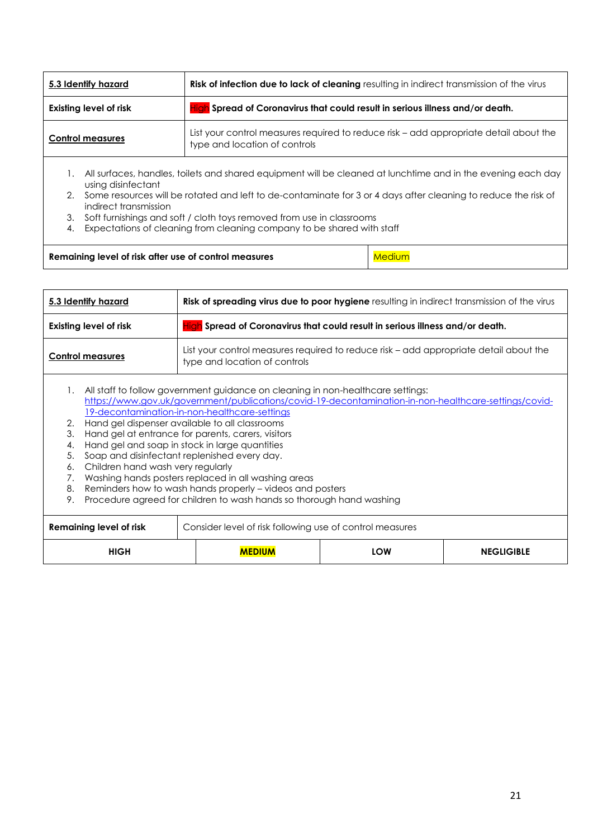| 5.3 Identify hazard                                                                                                                                    |  | <b>Risk of infection due to lack of cleaning</b> resulting in indirect transmission of the virus                       |        |
|--------------------------------------------------------------------------------------------------------------------------------------------------------|--|------------------------------------------------------------------------------------------------------------------------|--------|
| <b>Existing level of risk</b>                                                                                                                          |  | High Spread of Coronavirus that could result in serious illness and/or death.                                          |        |
| <b>Control measures</b>                                                                                                                                |  | List your control measures required to reduce risk – add appropriate detail about the<br>type and location of controls |        |
| All surfaces, handles, toilets and shared equipment will be cleaned at lunchtime and in the evening each day<br>using disinfectant                     |  |                                                                                                                        |        |
| Some resources will be rotated and left to de-contaminate for 3 or 4 days after cleaning to reduce the risk of<br>$2^{\circ}$<br>indirect transmission |  |                                                                                                                        |        |
| 3.                                                                                                                                                     |  | Soft furnishings and soft / cloth toys removed from use in classrooms                                                  |        |
| Expectations of cleaning from cleaning company to be shared with staff<br>4.                                                                           |  |                                                                                                                        |        |
| Remaining level of risk after use of control measures                                                                                                  |  |                                                                                                                        | Medium |

| 5.3 Identify hazard                                                                     | Risk of spreading virus due to poor hygiene resulting in indirect transmission of the virus                                                                                                                                                                                                                                                                                                                                                                                                                                                                                                                                                     |     |                   |
|-----------------------------------------------------------------------------------------|-------------------------------------------------------------------------------------------------------------------------------------------------------------------------------------------------------------------------------------------------------------------------------------------------------------------------------------------------------------------------------------------------------------------------------------------------------------------------------------------------------------------------------------------------------------------------------------------------------------------------------------------------|-----|-------------------|
| <b>Existing level of risk</b>                                                           | Spread of Coronavirus that could result in serious illness and/or death.                                                                                                                                                                                                                                                                                                                                                                                                                                                                                                                                                                        |     |                   |
| <b>Control measures</b>                                                                 | List your control measures required to reduce risk – add appropriate detail about the<br>type and location of controls                                                                                                                                                                                                                                                                                                                                                                                                                                                                                                                          |     |                   |
| 1.<br>2.<br>3.<br>4.<br>5.<br>Children hand wash very regularly<br>6.<br>7.<br>8.<br>9. | All staff to follow government guidance on cleaning in non-healthcare settings:<br>https://www.gov.uk/government/publications/covid-19-decontamination-in-non-healthcare-settings/covid-<br>19-decontamination-in-non-healthcare-settings<br>Hand gel dispenser available to all classrooms<br>Hand gel at entrance for parents, carers, visitors<br>Hand gel and soap in stock in large quantities<br>Soap and disinfectant replenished every day.<br>Washing hands posters replaced in all washing areas<br>Reminders how to wash hands properly - videos and posters<br>Procedure agreed for children to wash hands so thorough hand washing |     |                   |
| Remaining level of risk                                                                 | Consider level of risk following use of control measures                                                                                                                                                                                                                                                                                                                                                                                                                                                                                                                                                                                        |     |                   |
| <b>HIGH</b>                                                                             | <b>MFDIIIN</b>                                                                                                                                                                                                                                                                                                                                                                                                                                                                                                                                                                                                                                  | LOW | <b>NEGLIGIBLE</b> |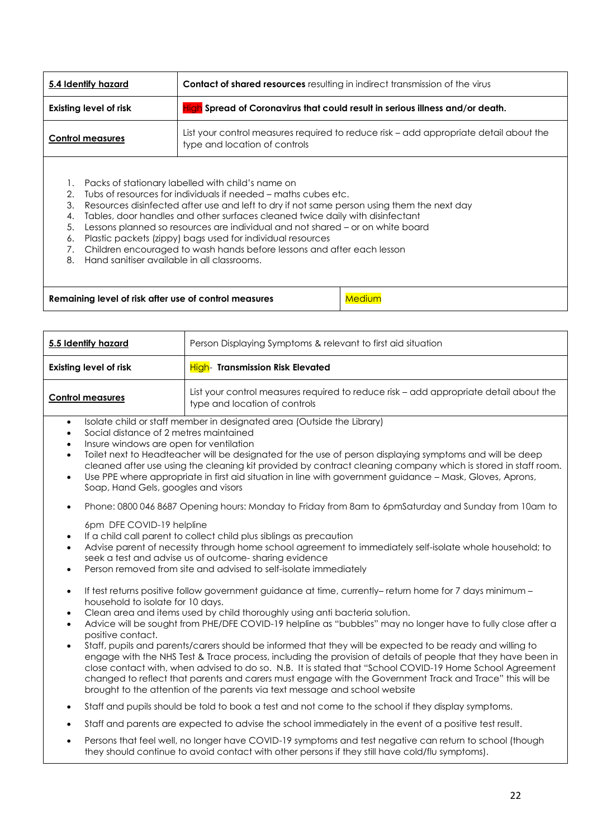| 5.4 Identify hazard                               | <b>Contact of shared resources</b> resulting in indirect transmission of the virus                                     |  |
|---------------------------------------------------|------------------------------------------------------------------------------------------------------------------------|--|
| <b>Existing level of risk</b>                     | <b>High</b> Spread of Coronavirus that could result in serious illness and/or death.                                   |  |
| <b>Control measures</b>                           | List your control measures required to reduce risk – add appropriate detail about the<br>type and location of controls |  |
| Packs of stationary labelled with child's name on |                                                                                                                        |  |

- 1. Packs of stationary labelled with child's name on
- 2. Tubs of resources for individuals if needed maths cubes etc.
- 3. Resources disinfected after use and left to dry if not same person using them the next day
- 4. Tables, door handles and other surfaces cleaned twice daily with disinfectant
- 5. Lessons planned so resources are individual and not shared or on white board
- 6. Plastic packets (zippy) bags used for individual resources
- 7. Children encouraged to wash hands before lessons and after each lesson
- 8. Hand sanitiser available in all classrooms.

| Remaining level of risk after use of control measures | Medium |
|-------------------------------------------------------|--------|
|                                                       |        |

| 5.5 Identify hazard                                                                                                                                                                                                                                                                                                                                                              | Person Displaying Symptoms & relevant to first aid situation                                                                                                                                                                                                                                                                                                                                                                                                                                                                                                                                                                                                                                                                                                                                                                               |  |
|----------------------------------------------------------------------------------------------------------------------------------------------------------------------------------------------------------------------------------------------------------------------------------------------------------------------------------------------------------------------------------|--------------------------------------------------------------------------------------------------------------------------------------------------------------------------------------------------------------------------------------------------------------------------------------------------------------------------------------------------------------------------------------------------------------------------------------------------------------------------------------------------------------------------------------------------------------------------------------------------------------------------------------------------------------------------------------------------------------------------------------------------------------------------------------------------------------------------------------------|--|
| <b>Existing level of risk</b>                                                                                                                                                                                                                                                                                                                                                    | High- Transmission Risk Elevated                                                                                                                                                                                                                                                                                                                                                                                                                                                                                                                                                                                                                                                                                                                                                                                                           |  |
| <b>Control measures</b>                                                                                                                                                                                                                                                                                                                                                          | List your control measures required to reduce risk - add appropriate detail about the<br>type and location of controls                                                                                                                                                                                                                                                                                                                                                                                                                                                                                                                                                                                                                                                                                                                     |  |
| $\bullet$<br>Social distance of 2 metres maintained<br>$\bullet$<br>Insure windows are open for ventilation<br>$\bullet$<br>$\bullet$<br>$\bullet$<br>Soap, Hand Gels, googles and visors                                                                                                                                                                                        | Isolate child or staff member in designated area (Outside the Library)<br>Toilet next to Headteacher will be designated for the use of person displaying symptoms and will be deep<br>cleaned after use using the cleaning kit provided by contract cleaning company which is stored in staff room.<br>Use PPE where appropriate in first aid situation in line with government guidance - Mask, Gloves, Aprons,                                                                                                                                                                                                                                                                                                                                                                                                                           |  |
| $\bullet$                                                                                                                                                                                                                                                                                                                                                                        | Phone: 0800 046 8687 Opening hours: Monday to Friday from 8am to 6pmSaturday and Sunday from 10am to                                                                                                                                                                                                                                                                                                                                                                                                                                                                                                                                                                                                                                                                                                                                       |  |
| 6pm DFE COVID-19 helpline<br>If a child call parent to collect child plus siblings as precaution<br>$\bullet$<br>Advise parent of necessity through home school agreement to immediately self-isolate whole household; to<br>$\bullet$<br>seek a test and advise us of outcome-sharing evidence<br>Person removed from site and advised to self-isolate immediately<br>$\bullet$ |                                                                                                                                                                                                                                                                                                                                                                                                                                                                                                                                                                                                                                                                                                                                                                                                                                            |  |
| $\bullet$<br>household to isolate for 10 days.<br>$\bullet$<br>$\bullet$<br>positive contact.<br>$\bullet$                                                                                                                                                                                                                                                                       | If test returns positive follow government guidance at time, currently-return home for 7 days minimum -<br>Clean area and items used by child thoroughly using anti bacteria solution.<br>Advice will be sought from PHE/DFE COVID-19 helpline as "bubbles" may no longer have to fully close after a<br>Staff, pupils and parents/carers should be informed that they will be expected to be ready and willing to<br>engage with the NHS Test & Trace process, including the provision of details of people that they have been in<br>close contact with, when advised to do so. N.B. It is stated that "School COVID-19 Home School Agreement<br>changed to reflect that parents and carers must engage with the Government Track and Trace" this will be<br>brought to the attention of the parents via text message and school website |  |
| $\bullet$                                                                                                                                                                                                                                                                                                                                                                        | Staff and pupils should be told to book a test and not come to the school if they display symptoms.                                                                                                                                                                                                                                                                                                                                                                                                                                                                                                                                                                                                                                                                                                                                        |  |
| $\bullet$                                                                                                                                                                                                                                                                                                                                                                        | Staff and parents are expected to advise the school immediately in the event of a positive test result.                                                                                                                                                                                                                                                                                                                                                                                                                                                                                                                                                                                                                                                                                                                                    |  |
| Persons that feel well, no longer have COVID-19 symptoms and test negative can return to school (though<br>$\bullet$<br>they should continue to avoid contact with other persons if they still have cold/flu symptoms).                                                                                                                                                          |                                                                                                                                                                                                                                                                                                                                                                                                                                                                                                                                                                                                                                                                                                                                                                                                                                            |  |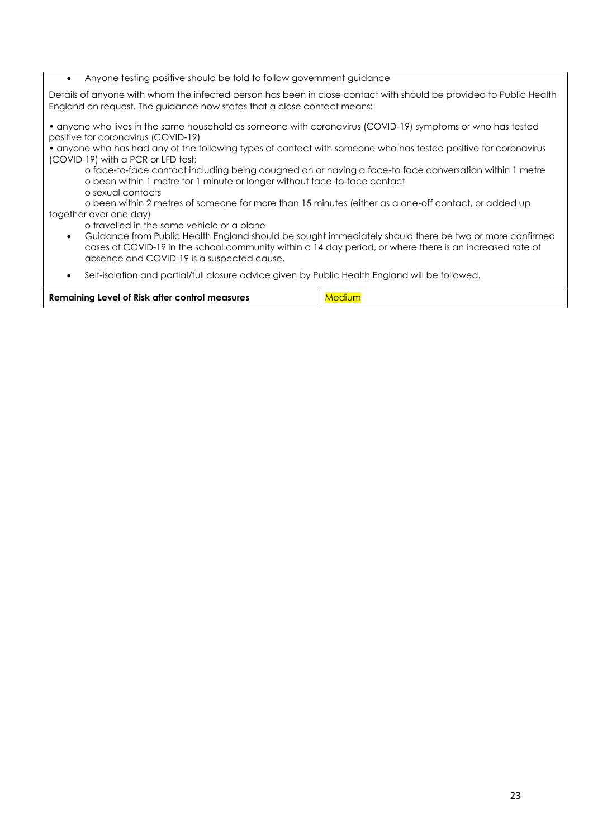#### Anyone testing positive should be told to follow government guidance

Details of anyone with whom the infected person has been in close contact with should be provided to Public Health England on request. The guidance now states that a close contact means:

• anyone who lives in the same household as someone with coronavirus (COVID-19) symptoms or who has tested positive for coronavirus (COVID-19)

• anyone who has had any of the following types of contact with someone who has tested positive for coronavirus (COVID-19) with a PCR or LFD test:

o face-to-face contact including being coughed on or having a face-to face conversation within 1 metre o been within 1 metre for 1 minute or longer without face-to-face contact

o sexual contacts

o been within 2 metres of someone for more than 15 minutes (either as a one-off contact, or added up together over one day)

o travelled in the same vehicle or a plane

- Guidance from Public Health England should be sought immediately should there be two or more confirmed cases of COVID-19 in the school community within a 14 day period, or where there is an increased rate of absence and COVID-19 is a suspected cause.
- Self-isolation and partial/full closure advice given by Public Health England will be followed.

| Medium |
|--------|
|        |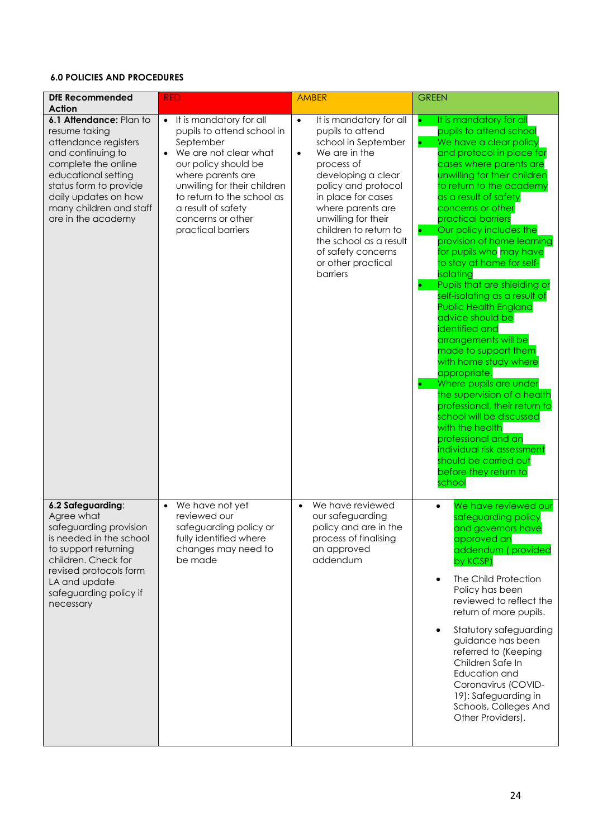## **6.0 POLICIES AND PROCEDURES**

| <b>DfE Recommended</b><br><b>Action</b>                                                                                                                                                                                                | <b>RED</b>                                                                                                                                                                                                                                                                           | <b>AMBER</b>                                                                                                                                                                                                                                                                                                                                          | <b>GREEN</b>                                                                                                                                                                                                                                                                                                                                                                                                                                                                                                                                                                                                                                                                                                                                                                                                                                                                                                           |
|----------------------------------------------------------------------------------------------------------------------------------------------------------------------------------------------------------------------------------------|--------------------------------------------------------------------------------------------------------------------------------------------------------------------------------------------------------------------------------------------------------------------------------------|-------------------------------------------------------------------------------------------------------------------------------------------------------------------------------------------------------------------------------------------------------------------------------------------------------------------------------------------------------|------------------------------------------------------------------------------------------------------------------------------------------------------------------------------------------------------------------------------------------------------------------------------------------------------------------------------------------------------------------------------------------------------------------------------------------------------------------------------------------------------------------------------------------------------------------------------------------------------------------------------------------------------------------------------------------------------------------------------------------------------------------------------------------------------------------------------------------------------------------------------------------------------------------------|
| 6.1 Attendance: Plan to<br>resume taking<br>attendance registers<br>and continuing to<br>complete the online<br>educational setting<br>status form to provide<br>daily updates on how<br>many children and staff<br>are in the academy | It is mandatory for all<br>$\bullet$<br>pupils to attend school in<br>September<br>We are not clear what<br>our policy should be<br>where parents are<br>unwilling for their children<br>to return to the school as<br>a result of safety<br>concerns or other<br>practical barriers | It is mandatory for all<br>$\bullet$<br>pupils to attend<br>school in September<br>We are in the<br>$\bullet$<br>process of<br>developing a clear<br>policy and protocol<br>in place for cases<br>where parents are<br>unwilling for their<br>children to return to<br>the school as a result<br>of safety concerns<br>or other practical<br>barriers | It is mandatory for all<br>$\bullet$<br>pupils to attend school<br>We have a clear policy<br>$\bullet$<br>and protocol in place for<br>cases where parents are<br>unwilling for their children<br>to return to the academy<br>as a result of safety<br>concerns or other<br>practical barriers<br>Our policy includes the<br>provision of home learning<br>for pupils who may have<br>to stay at home for self-<br>isolating<br>Pupils that are shielding or<br>self-isolating as a result of<br><b>Public Health England</b><br>advice should be<br>identified and<br>arrangements will be<br>made to support them<br>with home study where<br>appropriate.<br>Where pupils are under<br>the supervision of a health<br>professional, their return to<br>school will be discussed<br>with the health<br>professional and an<br>individual risk assessment<br>should be carried out<br>before they return to<br>school |
| 6.2 Safeguarding:<br>Agree what<br>safeguarding provision<br>is needed in the school<br>to support returning<br>children. Check for<br>revised protocols form<br>LA and update<br>safeguarding policy if<br>necessary                  | We have not yet<br>reviewed our<br>safeguarding policy or<br>fully identified where<br>changes may need to<br>be made                                                                                                                                                                | We have reviewed<br>$\bullet$<br>our safeguarding<br>policy and are in the<br>process of finalising<br>an approved<br>addendum                                                                                                                                                                                                                        | We have reviewed our<br>safeguarding policy<br>and governors have<br>approved an<br>addendum (provided<br>by KCSP)<br>The Child Protection<br>Policy has been<br>reviewed to reflect the<br>return of more pupils.<br>Statutory safeguarding<br>guidance has been<br>referred to (Keeping<br>Children Safe In<br>Education and<br>Coronavirus (COVID-<br>19): Safeguarding in<br>Schools, Colleges And<br>Other Providers).                                                                                                                                                                                                                                                                                                                                                                                                                                                                                            |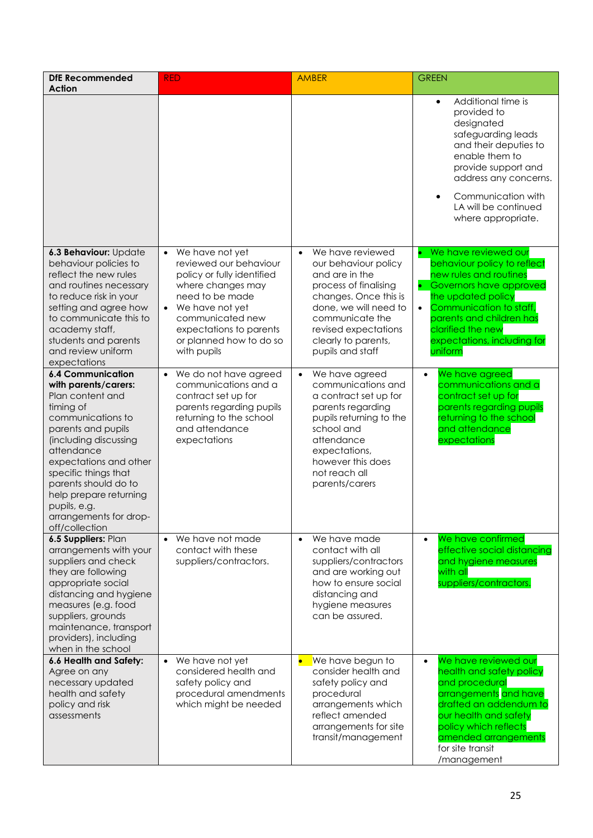| <b>DfE Recommended</b><br><b>Action</b>                                                                                                                                                                                                                                                                                             | <b>RED</b>                                                                                                                                                                                                                                 | <b>AMBER</b>                                                                                                                                                                                                                             | <b>GREEN</b>                                                                                                                                                                                                                                                                     |
|-------------------------------------------------------------------------------------------------------------------------------------------------------------------------------------------------------------------------------------------------------------------------------------------------------------------------------------|--------------------------------------------------------------------------------------------------------------------------------------------------------------------------------------------------------------------------------------------|------------------------------------------------------------------------------------------------------------------------------------------------------------------------------------------------------------------------------------------|----------------------------------------------------------------------------------------------------------------------------------------------------------------------------------------------------------------------------------------------------------------------------------|
|                                                                                                                                                                                                                                                                                                                                     |                                                                                                                                                                                                                                            |                                                                                                                                                                                                                                          | Additional time is<br>$\bullet$<br>provided to<br>designated<br>safeguarding leads<br>and their deputies to<br>enable them to<br>provide support and<br>address any concerns.<br>Communication with<br>LA will be continued<br>where appropriate.                                |
| 6.3 Behaviour: Update<br>behaviour policies to<br>reflect the new rules<br>and routines necessary<br>to reduce risk in your<br>setting and agree how<br>to communicate this to<br>academy staff,<br>students and parents<br>and review uniform<br>expectations                                                                      | We have not yet<br>$\bullet$<br>reviewed our behaviour<br>policy or fully identified<br>where changes may<br>need to be made<br>• We have not yet<br>communicated new<br>expectations to parents<br>or planned how to do so<br>with pupils | We have reviewed<br>$\bullet$<br>our behaviour policy<br>and are in the<br>process of finalising<br>changes. Once this is<br>done, we will need to<br>communicate the<br>revised expectations<br>clearly to parents,<br>pupils and staff | • We have reviewed our<br>behaviour policy to reflect<br>new rules and routines<br>Governors have approved<br>$\bullet$<br>the updated policy<br>Communication to staff,<br>$\bullet$<br>parents and children has<br>clarified the new<br>expectations, including for<br>uniform |
| <b>6.4 Communication</b><br>with parents/carers:<br>Plan content and<br>timing of<br>communications to<br>parents and pupils<br>(including discussing<br>attendance<br>expectations and other<br>specific things that<br>parents should do to<br>help prepare returning<br>pupils, e.g.<br>arrangements for drop-<br>off/collection | We do not have agreed<br>communications and a<br>contract set up for<br>parents regarding pupils<br>returning to the school<br>and attendance<br>expectations                                                                              | We have agreed<br>$\bullet$<br>communications and<br>a contract set up for<br>parents regarding<br>pupils returning to the<br>school and<br>attendance<br>expectations,<br>however this does<br>not reach all<br>parents/carers          | We have agreed<br>$\bullet$<br>communications and a<br>contract set up for<br>parents regarding pupils<br>returning to the school<br>and attendance<br>expectations                                                                                                              |
| 6.5 Suppliers: Plan<br>arrangements with your<br>suppliers and check<br>they are following<br>appropriate social<br>distancing and hygiene<br>measures (e.g. food<br>suppliers, grounds<br>maintenance, transport<br>providers), including<br>when in the school                                                                    | We have not made<br>contact with these<br>suppliers/contractors.                                                                                                                                                                           | We have made<br>$\bullet$<br>contact with all<br>suppliers/contractors<br>and are working out<br>how to ensure social<br>distancing and<br>hygiene measures<br>can be assured.                                                           | We have confirmed<br>$\bullet$<br>effective social distancing<br>and hygiene measures<br>with all<br>suppliers/contractors.                                                                                                                                                      |
| 6.6 Health and Safety:<br>Agree on any<br>necessary updated<br>health and safety<br>policy and risk<br>assessments                                                                                                                                                                                                                  | We have not yet<br>considered health and<br>safety policy and<br>procedural amendments<br>which might be needed                                                                                                                            | We have begun to<br>$\bullet$<br>consider health and<br>safety policy and<br>procedural<br>arrangements which<br>reflect amended<br>arrangements for site<br>transit/management                                                          | We have reviewed our<br>$\bullet$<br>health and safety policy<br>and procedural<br>arrangements and have<br>drafted an addendum to<br>our health and safety<br>policy which reflects<br>amended arrangements<br>for site transit<br>/management                                  |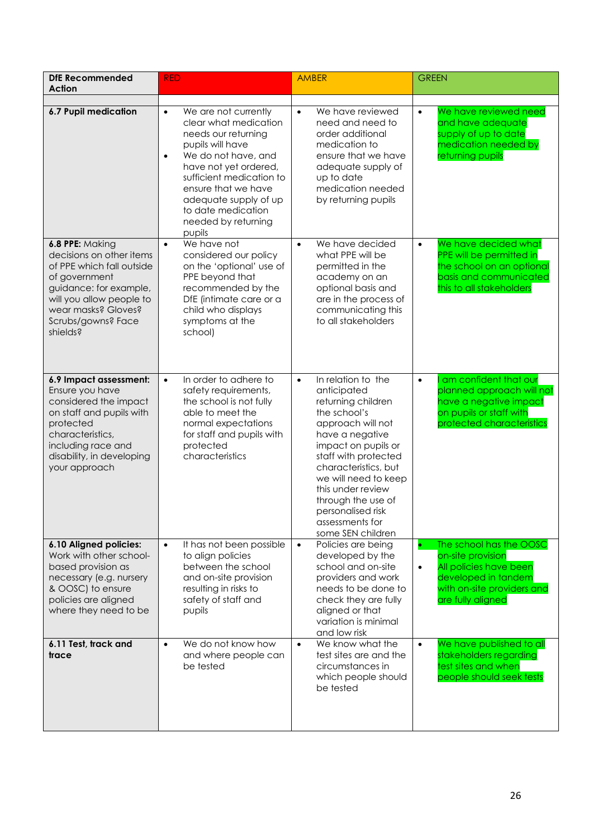| <b>DfE Recommended</b><br><b>Action</b>                                                                                                                                                                  | <b>RED</b>                                                                                                                                                                                                                                                                                            | <b>AMBER</b>                                                                                                                                                                                                                                                                                                                        | <b>GREEN</b>                                                                                                                                                  |
|----------------------------------------------------------------------------------------------------------------------------------------------------------------------------------------------------------|-------------------------------------------------------------------------------------------------------------------------------------------------------------------------------------------------------------------------------------------------------------------------------------------------------|-------------------------------------------------------------------------------------------------------------------------------------------------------------------------------------------------------------------------------------------------------------------------------------------------------------------------------------|---------------------------------------------------------------------------------------------------------------------------------------------------------------|
| <b>6.7 Pupil medication</b>                                                                                                                                                                              | We are not currently<br>$\bullet$<br>clear what medication<br>needs our returning<br>pupils will have<br>We do not have, and<br>$\bullet$<br>have not yet ordered,<br>sufficient medication to<br>ensure that we have<br>adequate supply of up<br>to date medication<br>needed by returning<br>pupils | We have reviewed<br>$\bullet$<br>need and need to<br>order additional<br>medication to<br>ensure that we have<br>adequate supply of<br>up to date<br>medication needed<br>by returning pupils                                                                                                                                       | We have reviewed need<br>$\bullet$<br>and have adequate<br>supply of up to date<br>medication needed by<br>returning pupils                                   |
| 6.8 PPE: Making<br>decisions on other items<br>of PPE which fall outside<br>of government<br>guidance: for example,<br>will you allow people to<br>wear masks? Gloves?<br>Scrubs/gowns? Face<br>shields? | We have not<br>$\bullet$<br>considered our policy<br>on the 'optional' use of<br>PPE beyond that<br>recommended by the<br>DfE (intimate care or a<br>child who displays<br>symptoms at the<br>school)                                                                                                 | We have decided<br>$\bullet$<br>what PPE will be<br>permitted in the<br>academy on an<br>optional basis and<br>are in the process of<br>communicating this<br>to all stakeholders                                                                                                                                                   | We have decided what<br>$\bullet$<br>PPE will be permitted in<br>the school on an optional<br>basis and communicated<br>this to all stakeholders              |
| 6.9 Impact assessment:<br>Ensure you have<br>considered the impact<br>on staff and pupils with<br>protected<br>characteristics,<br>including race and<br>disability, in developing<br>your approach      | In order to adhere to<br>$\bullet$<br>safety requirements,<br>the school is not fully<br>able to meet the<br>normal expectations<br>for staff and pupils with<br>protected<br>characteristics                                                                                                         | In relation to the<br>$\bullet$<br>anticipated<br>returning children<br>the school's<br>approach will not<br>have a negative<br>impact on pupils or<br>staff with protected<br>characteristics, but<br>we will need to keep<br>this under review<br>through the use of<br>personalised risk<br>assessments for<br>some SEN children | am confident that our<br>$\bullet$<br>planned approach will not<br>have a negative impact<br>on pupils or staff with<br>protected characteristics             |
| 6.10 Aligned policies:<br>Work with other school-<br>based provision as<br>necessary (e.g. nursery<br>& OOSC) to ensure<br>policies are aligned<br>where they need to be                                 | It has not been possible<br>$\bullet$<br>to align policies<br>between the school<br>and on-site provision<br>resulting in risks to<br>safety of staff and<br>pupils                                                                                                                                   | Policies are being<br>$\bullet$<br>developed by the<br>school and on-site<br>providers and work<br>needs to be done to<br>check they are fully<br>aligned or that<br>variation is minimal<br>and low risk                                                                                                                           | The school has the OOSC<br>on-site provision<br>All policies have been<br>$\bullet$<br>developed in tandem<br>with on-site providers and<br>are fully aligned |
| 6.11 Test, track and<br>trace                                                                                                                                                                            | We do not know how<br>$\bullet$<br>and where people can<br>be tested                                                                                                                                                                                                                                  | We know what the<br>$\bullet$<br>test sites are and the<br>circumstances in<br>which people should<br>be tested                                                                                                                                                                                                                     | We have published to all<br>$\bullet$<br>stakeholders regarding<br>test sites and when<br>people should seek tests                                            |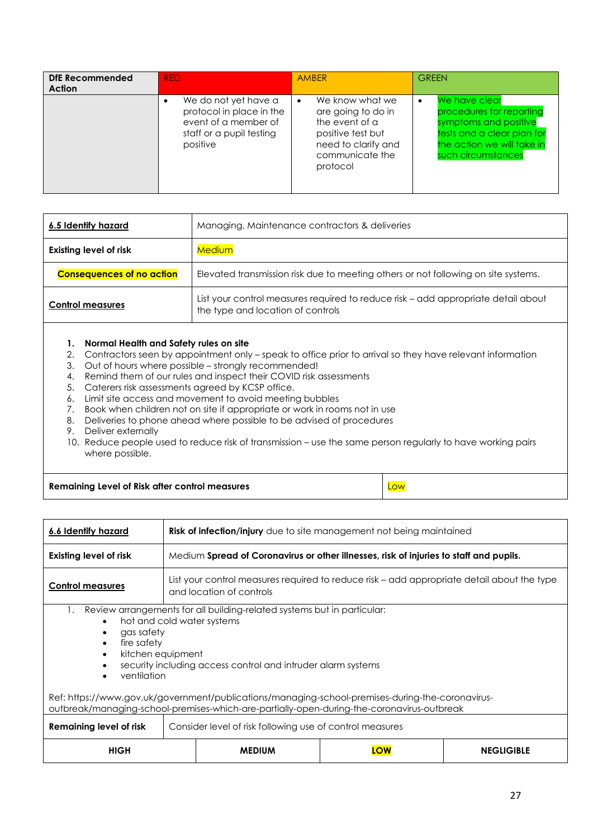| DfE Recommended<br>Action | <b>RED</b>                                                                                                       | <b>AMBER</b>                                                                                                                            | <b>GREEN</b>                                                                                                                                                      |
|---------------------------|------------------------------------------------------------------------------------------------------------------|-----------------------------------------------------------------------------------------------------------------------------------------|-------------------------------------------------------------------------------------------------------------------------------------------------------------------|
|                           | We do not yet have a<br>protocol in place in the<br>event of a member of<br>staff or a pupil testing<br>positive | We know what we<br>٠<br>are going to do in<br>the event of a<br>positive test but<br>need to clarify and<br>communicate the<br>protocol | We have clear<br>$\bullet$<br>procedures for reporting<br>symptoms and positive<br>tests and a clear plan for<br>the action we will take in<br>such circumstances |

| 6.5 Identify hazard              | Managing, Maintenance contractors & deliveries                                                                         |
|----------------------------------|------------------------------------------------------------------------------------------------------------------------|
| <b>Existing level of risk</b>    | <u>Medium</u>                                                                                                          |
| <b>Consequences of no action</b> | Elevated transmission risk due to meeting others or not following on site systems.                                     |
| <b>Control measures</b>          | List your control measures required to reduce risk – add appropriate detail about<br>the type and location of controls |
|                                  |                                                                                                                        |

## **1. Normal Health and Safety rules on site**

- 2. Contractors seen by appointment only speak to office prior to arrival so they have relevant information
- 3. Out of hours where possible strongly recommended!
- 4. Remind them of our rules and inspect their COVID risk assessments
- 5. Caterers risk assessments agreed by KCSP office.
- 6. Limit site access and movement to avoid meeting bubbles
- 7. Book when children not on site if appropriate or work in rooms not in use
- 8. Deliveries to phone ahead where possible to be advised of procedures
- 9. Deliver externally
- 10. Reduce people used to reduce risk of transmission use the same person regularly to have working pairs where possible.

**Remaining Level of Risk after control measures** Low

| 6.6 Identify hazard                                                                                                                                                                                                                                                                                                                                                                                                                            | <b>Risk of infection/injury</b> due to site management not being maintained                                            |  |  |
|------------------------------------------------------------------------------------------------------------------------------------------------------------------------------------------------------------------------------------------------------------------------------------------------------------------------------------------------------------------------------------------------------------------------------------------------|------------------------------------------------------------------------------------------------------------------------|--|--|
| <b>Existing level of risk</b>                                                                                                                                                                                                                                                                                                                                                                                                                  | Medium Spread of Coronavirus or other illnesses, risk of injuries to staff and pupils.                                 |  |  |
| <b>Control measures</b>                                                                                                                                                                                                                                                                                                                                                                                                                        | List your control measures required to reduce risk – add appropriate detail about the type<br>and location of controls |  |  |
| Review arrangements for all building-related systems but in particular:<br>1.<br>hot and cold water systems<br>gas safety<br>fire safety<br>kitchen equipment<br>security including access control and intruder alarm systems<br>ventilation<br>Ref: https://www.gov.uk/government/publications/managing-school-premises-during-the-coronavirus-<br>outbreak/managing-school-premises-which-are-partially-open-during-the-coronavirus-outbreak |                                                                                                                        |  |  |
| <b>Remaining level of risk</b><br>Consider level of risk following use of control measures                                                                                                                                                                                                                                                                                                                                                     |                                                                                                                        |  |  |
| <b>HIGH</b><br><b>NEGLIGIBLE</b><br><b>MFDIUM</b><br><b>OW</b>                                                                                                                                                                                                                                                                                                                                                                                 |                                                                                                                        |  |  |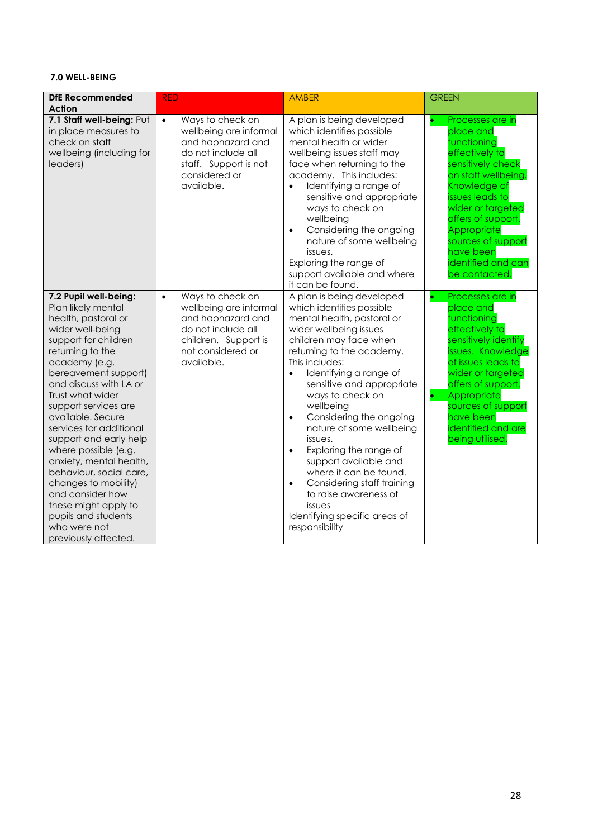## **7.0 WELL-BEING**

| <b>DfE Recommended</b><br>Action                                                                                                                                                                                                                                                                                                                                                                                                                                                                                                             | <b>RED</b>                                                                                                                                                    | <b>AMBER</b>                                                                                                                                                                                                                                                                                                                                                                                                                                                                                                                                                                                           | <b>GREEN</b>                                                                                                                                                                                                                                                                                   |
|----------------------------------------------------------------------------------------------------------------------------------------------------------------------------------------------------------------------------------------------------------------------------------------------------------------------------------------------------------------------------------------------------------------------------------------------------------------------------------------------------------------------------------------------|---------------------------------------------------------------------------------------------------------------------------------------------------------------|--------------------------------------------------------------------------------------------------------------------------------------------------------------------------------------------------------------------------------------------------------------------------------------------------------------------------------------------------------------------------------------------------------------------------------------------------------------------------------------------------------------------------------------------------------------------------------------------------------|------------------------------------------------------------------------------------------------------------------------------------------------------------------------------------------------------------------------------------------------------------------------------------------------|
| 7.1 Staff well-being: Put<br>in place measures to<br>check on staff<br>wellbeing (including for<br>leaders)                                                                                                                                                                                                                                                                                                                                                                                                                                  | Ways to check on<br>$\bullet$<br>wellbeing are informal<br>and haphazard and<br>do not include all<br>staff. Support is not<br>considered or<br>available.    | A plan is being developed<br>which identifies possible<br>mental health or wider<br>wellbeing issues staff may<br>face when returning to the<br>academy. This includes:<br>Identifying a range of<br>sensitive and appropriate<br>ways to check on<br>wellbeing<br>Considering the ongoing<br>$\bullet$<br>nature of some wellbeing<br>issues.<br>Exploring the range of<br>support available and where<br>it can be found.                                                                                                                                                                            | Processes are in<br>$\bullet$<br>place and<br>functioning<br>effectively to<br>sensitively check<br>on staff wellbeing.<br>Knowledge of<br>issues leads to<br>wider or targeted<br>offers of support.<br>Appropriate<br>sources of support<br>have been<br>identified and can<br>be contacted. |
| 7.2 Pupil well-being:<br>Plan likely mental<br>health, pastoral or<br>wider well-being<br>support for children<br>returning to the<br>academy (e.g.<br>bereavement support)<br>and discuss with LA or<br>Trust what wider<br>support services are<br>available. Secure<br>services for additional<br>support and early help<br>where possible (e.g.<br>anxiety, mental health,<br>behaviour, social care,<br>changes to mobility)<br>and consider how<br>these might apply to<br>pupils and students<br>who were not<br>previously affected. | Ways to check on<br>$\bullet$<br>wellbeing are informal<br>and haphazard and<br>do not include all<br>children. Support is<br>not considered or<br>available. | A plan is being developed<br>which identifies possible<br>mental health, pastoral or<br>wider wellbeing issues<br>children may face when<br>returning to the academy.<br>This includes:<br>Identifying a range of<br>$\bullet$<br>sensitive and appropriate<br>ways to check on<br>wellbeing<br>Considering the ongoing<br>$\bullet$<br>nature of some wellbeing<br>issues.<br>Exploring the range of<br>$\bullet$<br>support available and<br>where it can be found.<br>Considering staff training<br>$\bullet$<br>to raise awareness of<br>issues<br>Identifying specific areas of<br>responsibility | Processes are in<br>o<br>place and<br>functioning<br>effectively to<br>sensitively identify<br>issues. Knowledge<br>of issues leads to<br>wider or targeted<br>offers of support.<br>Appropriate<br>$\bullet$<br>sources of support<br>have been<br>identified and are<br>being utilised.      |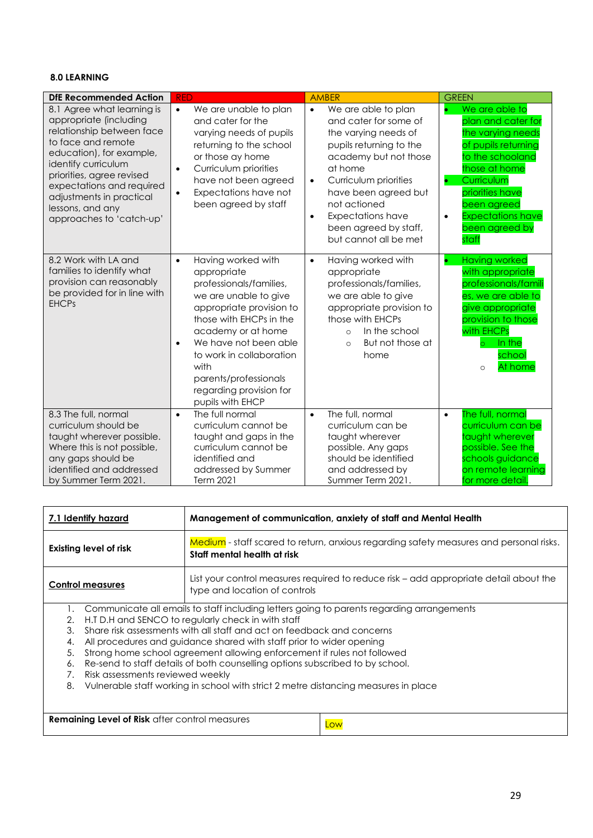## **8.0 LEARNING**

| <b>DfE Recommended Action</b>                                                                                                                                                                                                                                                                    | <b>RED</b>                                                                                                                                                                                                                                                                                                                        | <b>AMBER</b>                                                                                                                                                                                                                                                                                                              | <b>GREEN</b>                                                                                                                                                                                                                                           |
|--------------------------------------------------------------------------------------------------------------------------------------------------------------------------------------------------------------------------------------------------------------------------------------------------|-----------------------------------------------------------------------------------------------------------------------------------------------------------------------------------------------------------------------------------------------------------------------------------------------------------------------------------|---------------------------------------------------------------------------------------------------------------------------------------------------------------------------------------------------------------------------------------------------------------------------------------------------------------------------|--------------------------------------------------------------------------------------------------------------------------------------------------------------------------------------------------------------------------------------------------------|
| 8.1 Agree what learning is<br>appropriate (including<br>relationship between face<br>to face and remote<br>education), for example,<br>identify curriculum<br>priorities, agree revised<br>expectations and required<br>adjustments in practical<br>lessons, and any<br>approaches to 'catch-up' | We are unable to plan<br>$\bullet$<br>and cater for the<br>varying needs of pupils<br>returning to the school<br>or those ay home<br>Curriculum priorities<br>$\bullet$<br>have not been agreed<br>Expectations have not<br>$\bullet$<br>been agreed by staff                                                                     | We are able to plan<br>$\bullet$<br>and cater for some of<br>the varying needs of<br>pupils returning to the<br>academy but not those<br>at home<br>Curriculum priorities<br>$\bullet$<br>have been agreed but<br>not actioned<br><b>Expectations have</b><br>$\bullet$<br>been agreed by staff,<br>but cannot all be met | We are able to<br>plan and cater for<br>the varying needs<br>of pupils returning<br>to the schooland<br>those at home<br>Curriculum<br>$\bullet$<br>priorities have<br>been agreed<br><b>Expectations have</b><br>$\bullet$<br>been agreed by<br>staff |
| 8.2 Work with LA and<br>families to identify what<br>provision can reasonably<br>be provided for in line with<br><b>EHCPs</b>                                                                                                                                                                    | Having worked with<br>$\bullet$<br>appropriate<br>professionals/families,<br>we are unable to give<br>appropriate provision to<br>those with EHCPs in the<br>academy or at home<br>We have not been able<br>$\bullet$<br>to work in collaboration<br>with<br>parents/professionals<br>regarding provision for<br>pupils with EHCP | Having worked with<br>$\bullet$<br>appropriate<br>professionals/families,<br>we are able to give<br>appropriate provision to<br>those with EHCPs<br>In the school<br>$\Omega$<br>But not those at<br>$\circ$<br>home                                                                                                      | <b>Having worked</b><br>$\bullet$<br>with appropriate<br>professionals/famili<br>es, we are able to<br>give appropriate<br>provision to those<br>with EHCPs<br>In the<br>$\circ$<br>school<br>At home<br>$\circ$                                       |
| 8.3 The full, normal<br>curriculum should be<br>taught wherever possible.<br>Where this is not possible,<br>any gaps should be<br>identified and addressed<br>by Summer Term 2021.                                                                                                               | The full normal<br>$\bullet$<br>curriculum cannot be<br>taught and gaps in the<br>curriculum cannot be<br>identified and<br>addressed by Summer<br>Term 2021                                                                                                                                                                      | The full, normal<br>$\bullet$<br>curriculum can be<br>taught wherever<br>possible. Any gaps<br>should be identified<br>and addressed by<br>Summer Term 2021.                                                                                                                                                              | The full, normal<br>$\bullet$<br>curriculum can be<br>taught wherever<br>possible. See the<br>schools guidance<br>on remote learning<br>for more detail.                                                                                               |

|                                  | Management of communication, anxiety of staff and Mental Health<br>7.1 Identify hazard                                                            |                                                                                                                                                                                                                                                                                                                                                                                                                                                                                                                                                      |  |
|----------------------------------|---------------------------------------------------------------------------------------------------------------------------------------------------|------------------------------------------------------------------------------------------------------------------------------------------------------------------------------------------------------------------------------------------------------------------------------------------------------------------------------------------------------------------------------------------------------------------------------------------------------------------------------------------------------------------------------------------------------|--|
| <b>Existing level of risk</b>    |                                                                                                                                                   | Medium - staff scared to return, anxious regarding safety measures and personal risks.<br>Staff mental health at risk                                                                                                                                                                                                                                                                                                                                                                                                                                |  |
|                                  | List your control measures required to reduce risk – add appropriate detail about the<br><b>Control measures</b><br>type and location of controls |                                                                                                                                                                                                                                                                                                                                                                                                                                                                                                                                                      |  |
| 2.<br>3.<br>4.<br>5.<br>6.<br>8. | Risk assessments reviewed weekly                                                                                                                  | Communicate all emails to staff including letters going to parents regarding arrangements<br>H.T D.H and SENCO to regularly check in with staff<br>Share risk assessments with all staff and act on feedback and concerns<br>All procedures and quidance shared with staff prior to wider opening<br>Strong home school agreement allowing enforcement if rules not followed<br>Re-send to staff details of both counselling options subscribed to by school.<br>Vulnerable staff working in school with strict 2 metre distancing measures in place |  |
|                                  |                                                                                                                                                   |                                                                                                                                                                                                                                                                                                                                                                                                                                                                                                                                                      |  |

**Remaining Level of Risk** after control measures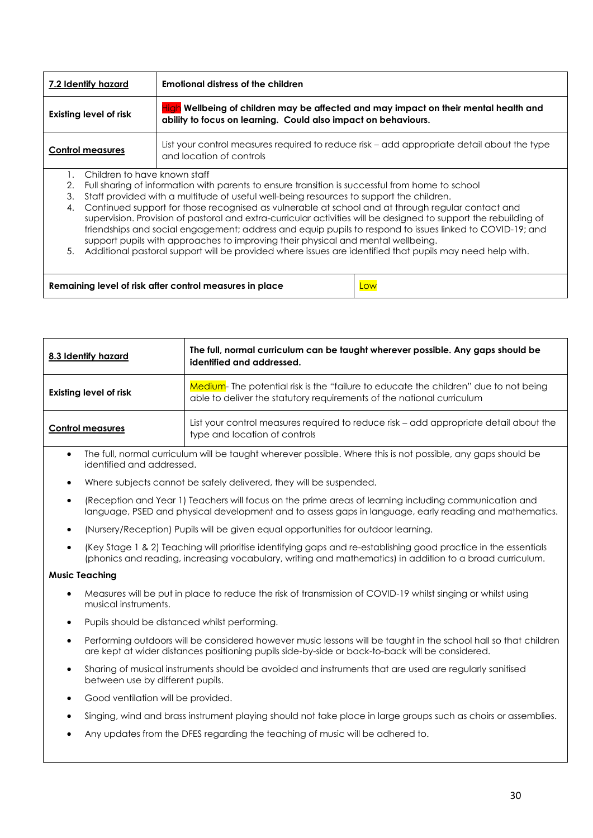| Emotional distress of the children<br>7.2 Identify hazard                                       |                                                                                                                                                                                                                                                                                                                                                                                                                       |                                                                                                                        |  |  |
|-------------------------------------------------------------------------------------------------|-----------------------------------------------------------------------------------------------------------------------------------------------------------------------------------------------------------------------------------------------------------------------------------------------------------------------------------------------------------------------------------------------------------------------|------------------------------------------------------------------------------------------------------------------------|--|--|
| <b>Existing level of risk</b><br>ability to focus on learning. Could also impact on behaviours. |                                                                                                                                                                                                                                                                                                                                                                                                                       | High Wellbeing of children may be affected and may impact on their mental health and                                   |  |  |
|                                                                                                 | <b>Control measures</b>                                                                                                                                                                                                                                                                                                                                                                                               | List your control measures required to reduce risk – add appropriate detail about the type<br>and location of controls |  |  |
|                                                                                                 | Children to have known staff                                                                                                                                                                                                                                                                                                                                                                                          |                                                                                                                        |  |  |
| 2.                                                                                              |                                                                                                                                                                                                                                                                                                                                                                                                                       | Full sharing of information with parents to ensure transition is successful from home to school                        |  |  |
| 3.                                                                                              |                                                                                                                                                                                                                                                                                                                                                                                                                       | Staff provided with a multitude of useful well-being resources to support the children.                                |  |  |
| 4.                                                                                              | Continued support for those recognised as vulnerable at school and at through regular contact and<br>supervision. Provision of pastoral and extra-curricular activities will be designed to support the rebuilding of<br>friendships and social engagement; address and equip pupils to respond to issues linked to COVID-19; and<br>support pupils with approaches to improving their physical and mental wellbeing. |                                                                                                                        |  |  |
| 5.                                                                                              | Additional pastoral support will be provided where issues are identified that pupils may need help with.                                                                                                                                                                                                                                                                                                              |                                                                                                                        |  |  |
|                                                                                                 |                                                                                                                                                                                                                                                                                                                                                                                                                       |                                                                                                                        |  |  |
|                                                                                                 |                                                                                                                                                                                                                                                                                                                                                                                                                       | Remaining level of risk after control measures in place<br>Low                                                         |  |  |

| 8.3 Identify hazard           | The full, normal curriculum can be taught wherever possible. Any gaps should be<br>identified and addressed.                                                 |
|-------------------------------|--------------------------------------------------------------------------------------------------------------------------------------------------------------|
| <b>Existing level of risk</b> | Medium-The potential risk is the "failure to educate the children" due to not being<br>able to deliver the statutory requirements of the national curriculum |
| <b>Control measures</b>       | List your control measures required to reduce risk – add appropriate detail about the<br>type and location of controls                                       |

- The full, normal curriculum will be taught wherever possible. Where this is not possible, any gaps should be identified and addressed.
- Where subjects cannot be safely delivered, they will be suspended.
- (Reception and Year 1) Teachers will focus on the prime areas of learning including communication and language, PSED and physical development and to assess gaps in language, early reading and mathematics.
- (Nursery/Reception) Pupils will be given equal opportunities for outdoor learning.
- (Key Stage 1 & 2) Teaching will prioritise identifying gaps and re-establishing good practice in the essentials (phonics and reading, increasing vocabulary, writing and mathematics) in addition to a broad curriculum.

#### **Music Teaching**

- Measures will be put in place to reduce the risk of transmission of COVID-19 whilst singing or whilst using musical instruments.
- Pupils should be distanced whilst performing.
- Performing outdoors will be considered however music lessons will be taught in the school hall so that children are kept at wider distances positioning pupils side-by-side or back-to-back will be considered.
- Sharing of musical instruments should be avoided and instruments that are used are regularly sanitised between use by different pupils.
- Good ventilation will be provided.
- Singing, wind and brass instrument playing should not take place in large groups such as choirs or assemblies.
- Any updates from the DFES regarding the teaching of music will be adhered to.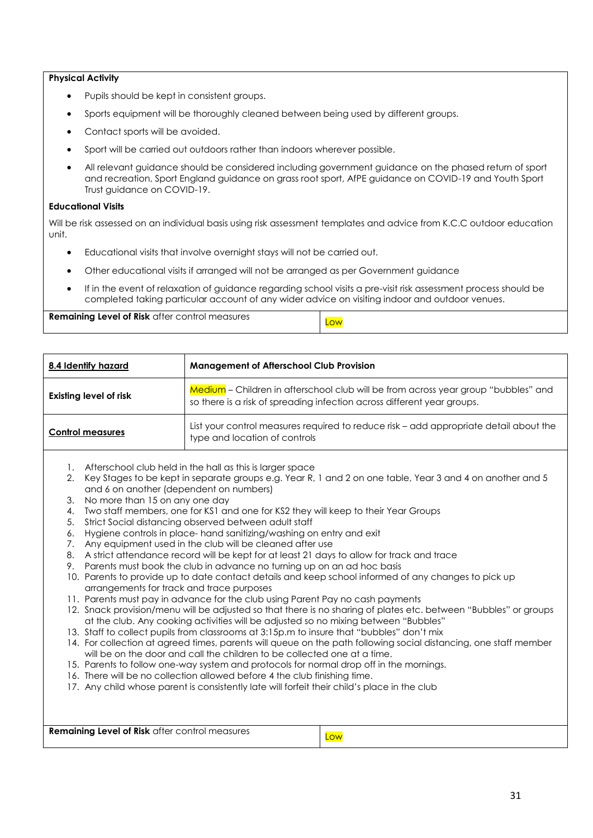#### **Physical Activity**

- Pupils should be kept in consistent groups.
- Sports equipment will be thoroughly cleaned between being used by different groups.
- Contact sports will be avoided.
- Sport will be carried out outdoors rather than indoors wherever possible.
- All relevant guidance should be considered including government guidance on the phased return of sport and recreation, Sport England guidance on grass root sport, AfPE guidance on COVID-19 and Youth Sport Trust guidance on COVID-19.

#### **Educational Visits**

Will be risk assessed on an individual basis using risk assessment templates and advice from K.C.C outdoor education unit.

- Educational visits that involve overnight stays will not be carried out.
- Other educational visits if arranged will not be arranged as per Government guidance
- If in the event of relaxation of guidance regarding school visits a pre-visit risk assessment process should be completed taking particular account of any wider advice on visiting indoor and outdoor venues.

**Remaining Level of Risk** after control measures **Low** 

| 8.4 Identify hazard           | <b>Management of Afterschool Club Provision</b>                                                                                                               |  |
|-------------------------------|---------------------------------------------------------------------------------------------------------------------------------------------------------------|--|
| <b>Existing level of risk</b> | Medium - Children in afterschool club will be from across year group "bubbles" and<br>so there is a risk of spreading infection across different year groups. |  |
| <b>Control measures</b>       | List your control measures required to reduce risk – add appropriate detail about the<br>type and location of controls                                        |  |
|                               |                                                                                                                                                               |  |

- 1. Afterschool club held in the hall as this is larger space
- 2. Key Stages to be kept in separate groups e.g. Year R, 1 and 2 on one table, Year 3 and 4 on another and 5 and 6 on another (dependent on numbers)
- 3. No more than 15 on any one day
- 4. Two staff members, one for KS1 and one for KS2 they will keep to their Year Groups
- 5. Strict Social distancing observed between adult staff
- 6. Hygiene controls in place- hand sanitizing/washing on entry and exit
- 7. Any equipment used in the club will be cleaned after use
- 8. A strict attendance record will be kept for at least 21 days to allow for track and trace
- 9. Parents must book the club in advance no turning up on an ad hoc basis
- 10. Parents to provide up to date contact details and keep school informed of any changes to pick up arrangements for track and trace purposes
- 11. Parents must pay in advance for the club using Parent Pay no cash payments
- 12. Snack provision/menu will be adjusted so that there is no sharing of plates etc. between "Bubbles" or groups at the club. Any cooking activities will be adjusted so no mixing between "Bubbles"
- 13. Staff to collect pupils from classrooms at 3:15p.m to insure that "bubbles" don't mix
- 14. For collection at agreed times, parents will queue on the path following social distancing, one staff member will be on the door and call the children to be collected one at a time.
- 15. Parents to follow one-way system and protocols for normal drop off in the mornings.
- 16. There will be no collection allowed before 4 the club finishing time.
- 17. Any child whose parent is consistently late will forfeit their child's place in the club

| Remaining Level of Risk after control measures | <b>OW</b> |
|------------------------------------------------|-----------|